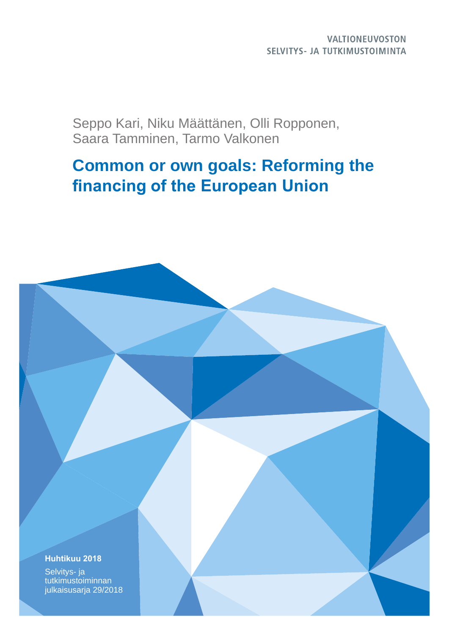## **VALTIONEUVOSTON** SELVITYS- JA TUTKIMUSTOIMINTA

Seppo Kari, Niku Määttänen, Olli Ropponen, Saara Tamminen, Tarmo Valkonen

# **Common or own goals: Reforming the financing of the European Union**

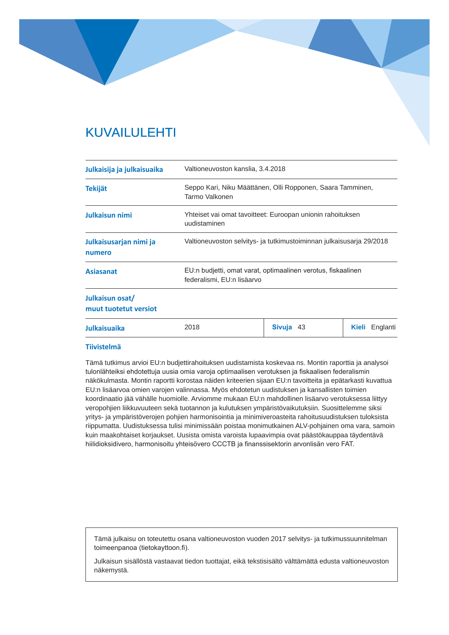# KUVAILULEHTI

| Julkaisija ja julkaisuaika               | Valtioneuvoston kanslia, 3.4.2018                                                          |                                                            |                       |
|------------------------------------------|--------------------------------------------------------------------------------------------|------------------------------------------------------------|-----------------------|
| <b>Tekijät</b>                           | Seppo Kari, Niku Määttänen, Olli Ropponen, Saara Tamminen,<br>Tarmo Valkonen               |                                                            |                       |
| Julkaisun nimi                           | uudistaminen                                                                               | Yhteiset vai omat tavoitteet: Euroopan unionin rahoituksen |                       |
| Julkaisusarjan nimi ja<br>numero         | Valtioneuvoston selvitys- ja tutkimustoiminnan julkaisusarja 29/2018                       |                                                            |                       |
| <b>Asiasanat</b>                         | EU:n budjetti, omat varat, optimaalinen verotus, fiskaalinen<br>federalismi, EU:n lisäarvo |                                                            |                       |
| Julkaisun osat/<br>muut tuotetut versiot |                                                                                            |                                                            |                       |
| <b>Julkaisuaika</b>                      | 2018                                                                                       | Sivuja 43                                                  | <b>Kieli</b> Englanti |

#### **Tiivistelmä**

Tämä tutkimus arvioi EU:n budjettirahoituksen uudistamista koskevaa ns. Montin raporttia ja analysoi tulonlähteiksi ehdotettuja uusia omia varoja optimaalisen verotuksen ja fiskaalisen federalismin näkökulmasta. Montin raportti korostaa näiden kriteerien sijaan EU:n tavoitteita ja epätarkasti kuvattua EU:n lisäarvoa omien varojen valinnassa. Myös ehdotetun uudistuksen ja kansallisten toimien koordinaatio jää vähälle huomiolle. Arviomme mukaan EU:n mahdollinen lisäarvo verotuksessa liittyy veropohjien liikkuvuuteen sekä tuotannon ja kulutuksen ympäristövaikutuksiin. Suosittelemme siksi yritys- ja ympäristöverojen pohjien harmonisointia ja minimiveroasteita rahoitusuudistuksen tuloksista riippumatta. Uudistuksessa tulisi minimissään poistaa monimutkainen ALV-pohjainen oma vara, samoin kuin maakohtaiset korjaukset. Uusista omista varoista lupaavimpia ovat päästökauppaa täydentävä hiilidioksidivero, harmonisoitu yhteisövero CCCTB ja finanssisektorin arvonlisän vero FAT.

Tämä julkaisu on toteutettu osana valtioneuvoston vuoden 2017 selvitys- ja tutkimussuunnitelman toimeenpanoa (tietokayttoon.fi).

Julkaisun sisällöstä vastaavat tiedon tuottajat, eikä tekstisisältö välttämättä edusta valtioneuvoston näkemystä.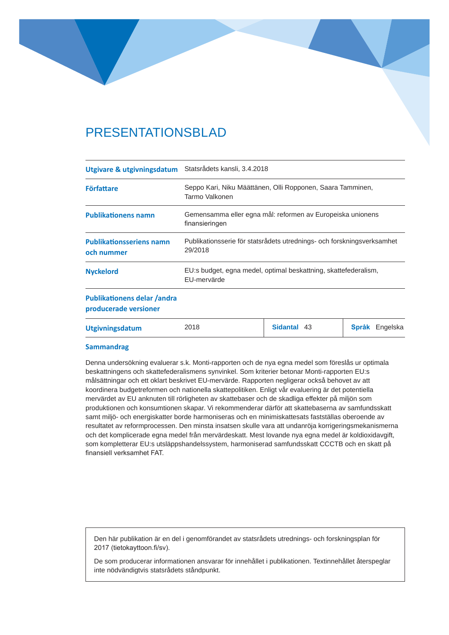# PRESENTATIONSBLAD

| Utgivare & utgivningsdatum                                  | Statsrådets kansli, 3.4.2018                                                      |             |                       |
|-------------------------------------------------------------|-----------------------------------------------------------------------------------|-------------|-----------------------|
| <b>Författare</b>                                           | Seppo Kari, Niku Määttänen, Olli Ropponen, Saara Tamminen,<br>Tarmo Valkonen      |             |                       |
| <b>Publikationens namn</b>                                  | Gemensamma eller egna mål: reformen av Europeiska unionens<br>finansieringen      |             |                       |
| <b>Publikationsseriens namn</b><br>och nummer               | Publikationsserie för statsrådets utrednings- och forskningsverksamhet<br>29/2018 |             |                       |
| <b>Nyckelord</b>                                            | EU:s budget, egna medel, optimal beskattning, skattefederalism,<br>EU-mervärde    |             |                       |
| <b>Publikationens delar /andra</b><br>producerade versioner |                                                                                   |             |                       |
| <b>Utgivningsdatum</b>                                      | 2018                                                                              | Sidantal 43 | <b>Språk</b> Engelska |

#### **Sammandrag**

Denna undersökning evaluerar s.k. Monti-rapporten och de nya egna medel som föreslås ur optimala beskattningens och skattefederalismens synvinkel. Som kriterier betonar Monti-rapporten EU:s målsättningar och ett oklart beskrivet EU-mervärde. Rapporten negligerar också behovet av att koordinera budgetreformen och nationella skattepolitiken. Enligt vår evaluering är det potentiella mervärdet av EU anknuten till rörligheten av skattebaser och de skadliga effekter på miljön som produktionen och konsumtionen skapar. Vi rekommenderar därför att skattebaserna av samfundsskatt samt miljö- och energiskatter borde harmoniseras och en minimiskattesats fastställas oberoende av resultatet av reformprocessen. Den minsta insatsen skulle vara att undanröja korrigeringsmekanismerna och det komplicerade egna medel från mervärdeskatt. Mest lovande nya egna medel är koldioxidavgift, som kompletterar EU:s utsläppshandelssystem, harmoniserad samfundsskatt CCCTB och en skatt på finansiell verksamhet FAT.

Den här publikation är en del i genomförandet av statsrådets utrednings- och forskningsplan för 2017 (tietokayttoon.fi/sv).

De som producerar informationen ansvarar för innehållet i publikationen. Textinnehållet återspeglar inte nödvändigtvis statsrådets ståndpunkt.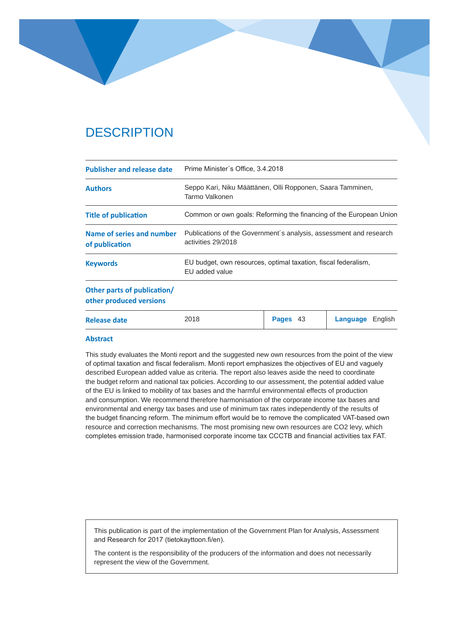# **DESCRIPTION**

| <b>Publisher and release date</b>                      | Prime Minister's Office, 3.4.2018                                                        |          |                     |
|--------------------------------------------------------|------------------------------------------------------------------------------------------|----------|---------------------|
| <b>Authors</b>                                         | Seppo Kari, Niku Määttänen, Olli Ropponen, Saara Tamminen,<br>Tarmo Valkonen             |          |                     |
| <b>Title of publication</b>                            | Common or own goals: Reforming the financing of the European Union                       |          |                     |
| Name of series and number<br>of publication            | Publications of the Government's analysis, assessment and research<br>activities 29/2018 |          |                     |
| <b>Keywords</b>                                        | EU budget, own resources, optimal taxation, fiscal federalism,<br>EU added value         |          |                     |
| Other parts of publication/<br>other produced versions |                                                                                          |          |                     |
| Release date                                           | 2018                                                                                     | Pages 43 | Language<br>English |

#### **Abstract**

This study evaluates the Monti report and the suggested new own resources from the point of the view of optimal taxation and fiscal federalism. Monti report emphasizes the objectives of EU and vaguely described European added value as criteria. The report also leaves aside the need to coordinate the budget reform and national tax policies. According to our assessment, the potential added value of the EU is linked to mobility of tax bases and the harmful environmental effects of production and consumption. We recommend therefore harmonisation of the corporate income tax bases and environmental and energy tax bases and use of minimum tax rates independently of the results of the budget financing reform. The minimum effort would be to remove the complicated VAT-based own resource and correction mechanisms. The most promising new own resources are CO2 levy, which completes emission trade, harmonised corporate income tax CCCTB and financial activities tax FAT.

This publication is part of the implementation of the Government Plan for Analysis, Assessment and Research for 2017 (tietokayttoon.fi/en).

The content is the responsibility of the producers of the information and does not necessarily represent the view of the Government.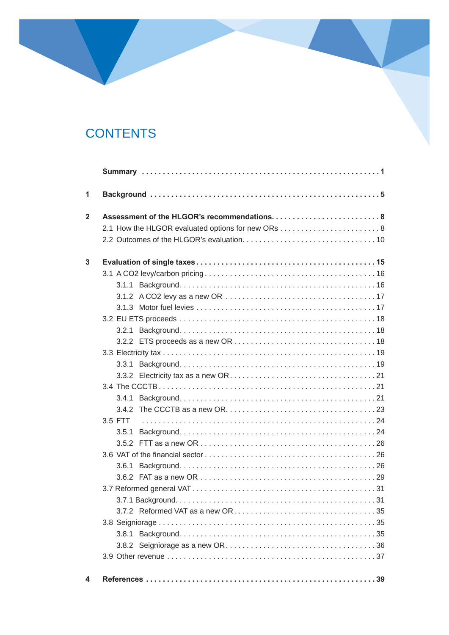# **CONTENTS**

| 3.5 FTT |  |
|---------|--|
| 3.5.1   |  |
|         |  |
|         |  |
| 3.6.1   |  |
|         |  |
|         |  |
|         |  |
|         |  |
|         |  |
|         |  |
|         |  |
|         |  |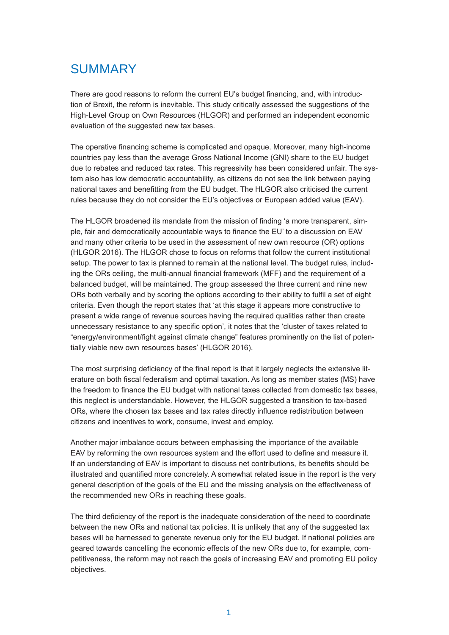# SUMMARY

There are good reasons to reform the current EU's budget financing, and, with introduction of Brexit, the reform is inevitable. This study critically assessed the suggestions of the High-Level Group on Own Resources (HLGOR) and performed an independent economic evaluation of the suggested new tax bases.

The operative financing scheme is complicated and opaque. Moreover, many high-income countries pay less than the average Gross National Income (GNI) share to the EU budget due to rebates and reduced tax rates. This regressivity has been considered unfair. The system also has low democratic accountability, as citizens do not see the link between paying national taxes and benefitting from the EU budget. The HLGOR also criticised the current rules because they do not consider the EU's objectives or European added value (EAV).

The HLGOR broadened its mandate from the mission of finding 'a more transparent, simple, fair and democratically accountable ways to finance the EU' to a discussion on EAV and many other criteria to be used in the assessment of new own resource (OR) options (HLGOR 2016). The HLGOR chose to focus on reforms that follow the current institutional setup. The power to tax is planned to remain at the national level. The budget rules, including the ORs ceiling, the multi-annual financial framework (MFF) and the requirement of a balanced budget, will be maintained. The group assessed the three current and nine new ORs both verbally and by scoring the options according to their ability to fulfil a set of eight criteria. Even though the report states that 'at this stage it appears more constructive to present a wide range of revenue sources having the required qualities rather than create unnecessary resistance to any specific option', it notes that the 'cluster of taxes related to "energy/environment/fight against climate change" features prominently on the list of potentially viable new own resources bases' (HLGOR 2016).

The most surprising deficiency of the final report is that it largely neglects the extensive literature on both fiscal federalism and optimal taxation. As long as member states (MS) have the freedom to finance the EU budget with national taxes collected from domestic tax bases, this neglect is understandable. However, the HLGOR suggested a transition to tax-based ORs, where the chosen tax bases and tax rates directly influence redistribution between citizens and incentives to work, consume, invest and employ.

Another major imbalance occurs between emphasising the importance of the available EAV by reforming the own resources system and the effort used to define and measure it. If an understanding of EAV is important to discuss net contributions, its benefits should be illustrated and quantified more concretely. A somewhat related issue in the report is the very general description of the goals of the EU and the missing analysis on the effectiveness of the recommended new ORs in reaching these goals.

The third deficiency of the report is the inadequate consideration of the need to coordinate between the new ORs and national tax policies. It is unlikely that any of the suggested tax bases will be harnessed to generate revenue only for the EU budget. If national policies are geared towards cancelling the economic effects of the new ORs due to, for example, competitiveness, the reform may not reach the goals of increasing EAV and promoting EU policy objectives.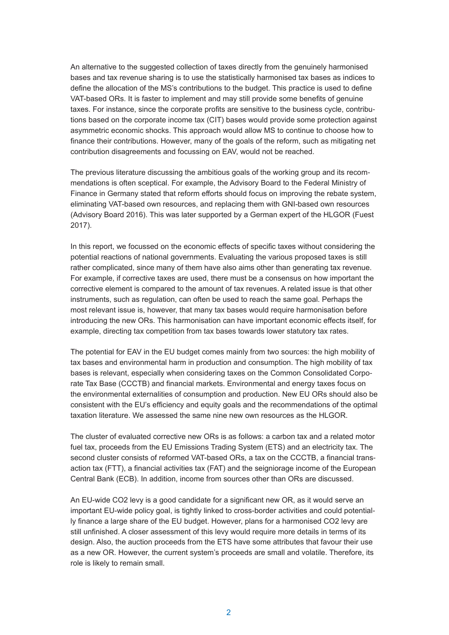An alternative to the suggested collection of taxes directly from the genuinely harmonised bases and tax revenue sharing is to use the statistically harmonised tax bases as indices to define the allocation of the MS's contributions to the budget. This practice is used to define VAT-based ORs. It is faster to implement and may still provide some benefits of genuine taxes. For instance, since the corporate profits are sensitive to the business cycle, contributions based on the corporate income tax (CIT) bases would provide some protection against asymmetric economic shocks. This approach would allow MS to continue to choose how to finance their contributions. However, many of the goals of the reform, such as mitigating net contribution disagreements and focussing on EAV, would not be reached.

The previous literature discussing the ambitious goals of the working group and its recommendations is often sceptical. For example, the Advisory Board to the Federal Ministry of Finance in Germany stated that reform efforts should focus on improving the rebate system, eliminating VAT-based own resources, and replacing them with GNI-based own resources (Advisory Board 2016). This was later supported by a German expert of the HLGOR (Fuest 2017).

In this report, we focussed on the economic effects of specific taxes without considering the potential reactions of national governments. Evaluating the various proposed taxes is still rather complicated, since many of them have also aims other than generating tax revenue. For example, if corrective taxes are used, there must be a consensus on how important the corrective element is compared to the amount of tax revenues. A related issue is that other instruments, such as regulation, can often be used to reach the same goal. Perhaps the most relevant issue is, however, that many tax bases would require harmonisation before introducing the new ORs. This harmonisation can have important economic effects itself, for example, directing tax competition from tax bases towards lower statutory tax rates.

The potential for EAV in the EU budget comes mainly from two sources: the high mobility of tax bases and environmental harm in production and consumption. The high mobility of tax bases is relevant, especially when considering taxes on the Common Consolidated Corporate Tax Base (CCCTB) and financial markets. Environmental and energy taxes focus on the environmental externalities of consumption and production. New EU ORs should also be consistent with the EU's efficiency and equity goals and the recommendations of the optimal taxation literature. We assessed the same nine new own resources as the HLGOR.

The cluster of evaluated corrective new ORs is as follows: a carbon tax and a related motor fuel tax, proceeds from the EU Emissions Trading System (ETS) and an electricity tax. The second cluster consists of reformed VAT-based ORs, a tax on the CCCTB, a financial transaction tax (FTT), a financial activities tax (FAT) and the seigniorage income of the European Central Bank (ECB). In addition, income from sources other than ORs are discussed.

An EU-wide CO2 levy is a good candidate for a significant new OR, as it would serve an important EU-wide policy goal, is tightly linked to cross-border activities and could potentially finance a large share of the EU budget. However, plans for a harmonised CO2 levy are still unfinished. A closer assessment of this levy would require more details in terms of its design. Also, the auction proceeds from the ETS have some attributes that favour their use as a new OR. However, the current system's proceeds are small and volatile. Therefore, its role is likely to remain small.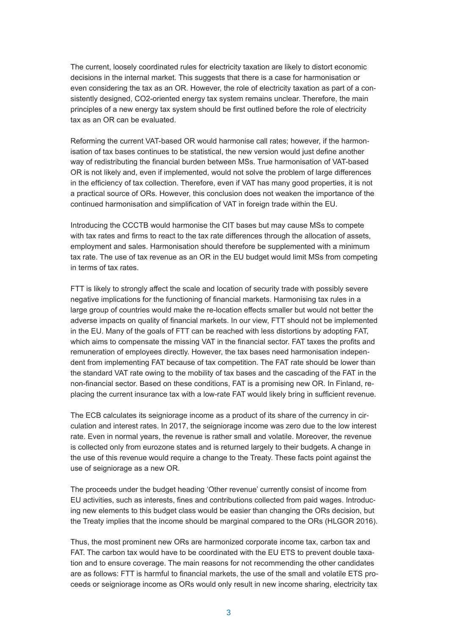The current, loosely coordinated rules for electricity taxation are likely to distort economic decisions in the internal market. This suggests that there is a case for harmonisation or even considering the tax as an OR. However, the role of electricity taxation as part of a consistently designed, CO2-oriented energy tax system remains unclear. Therefore, the main principles of a new energy tax system should be first outlined before the role of electricity tax as an OR can be evaluated.

Reforming the current VAT-based OR would harmonise call rates; however, if the harmonisation of tax bases continues to be statistical, the new version would just define another way of redistributing the financial burden between MSs. True harmonisation of VAT-based OR is not likely and, even if implemented, would not solve the problem of large differences in the efficiency of tax collection. Therefore, even if VAT has many good properties, it is not a practical source of ORs. However, this conclusion does not weaken the importance of the continued harmonisation and simplification of VAT in foreign trade within the EU.

Introducing the CCCTB would harmonise the CIT bases but may cause MSs to compete with tax rates and firms to react to the tax rate differences through the allocation of assets, employment and sales. Harmonisation should therefore be supplemented with a minimum tax rate. The use of tax revenue as an OR in the EU budget would limit MSs from competing in terms of tax rates.

FTT is likely to strongly affect the scale and location of security trade with possibly severe negative implications for the functioning of financial markets. Harmonising tax rules in a large group of countries would make the re-location effects smaller but would not better the adverse impacts on quality of financial markets. In our view, FTT should not be implemented in the EU. Many of the goals of FTT can be reached with less distortions by adopting FAT, which aims to compensate the missing VAT in the financial sector. FAT taxes the profits and remuneration of employees directly. However, the tax bases need harmonisation independent from implementing FAT because of tax competition. The FAT rate should be lower than the standard VAT rate owing to the mobility of tax bases and the cascading of the FAT in the non-financial sector. Based on these conditions, FAT is a promising new OR. In Finland, replacing the current insurance tax with a low-rate FAT would likely bring in sufficient revenue.

The ECB calculates its seigniorage income as a product of its share of the currency in circulation and interest rates. In 2017, the seigniorage income was zero due to the low interest rate. Even in normal years, the revenue is rather small and volatile. Moreover, the revenue is collected only from eurozone states and is returned largely to their budgets. A change in the use of this revenue would require a change to the Treaty. These facts point against the use of seigniorage as a new OR.

The proceeds under the budget heading 'Other revenue' currently consist of income from EU activities, such as interests, fines and contributions collected from paid wages. Introducing new elements to this budget class would be easier than changing the ORs decision, but the Treaty implies that the income should be marginal compared to the ORs (HLGOR 2016).

Thus, the most prominent new ORs are harmonized corporate income tax, carbon tax and FAT. The carbon tax would have to be coordinated with the EU ETS to prevent double taxation and to ensure coverage. The main reasons for not recommending the other candidates are as follows: FTT is harmful to financial markets, the use of the small and volatile ETS proceeds or seigniorage income as ORs would only result in new income sharing, electricity tax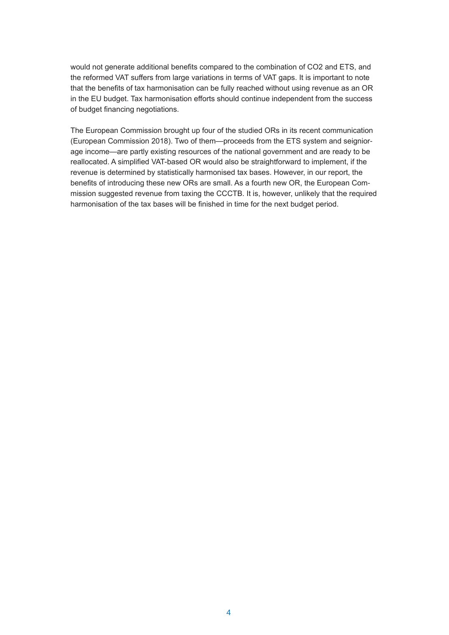would not generate additional benefits compared to the combination of CO2 and ETS, and the reformed VAT suffers from large variations in terms of VAT gaps. It is important to note that the benefits of tax harmonisation can be fully reached without using revenue as an OR in the EU budget. Tax harmonisation efforts should continue independent from the success of budget financing negotiations.

The European Commission brought up four of the studied ORs in its recent communication (European Commission 2018). Two of them—proceeds from the ETS system and seigniorage income—are partly existing resources of the national government and are ready to be reallocated. A simplified VAT-based OR would also be straightforward to implement, if the revenue is determined by statistically harmonised tax bases. However, in our report, the benefits of introducing these new ORs are small. As a fourth new OR, the European Commission suggested revenue from taxing the CCCTB. It is, however, unlikely that the required harmonisation of the tax bases will be finished in time for the next budget period.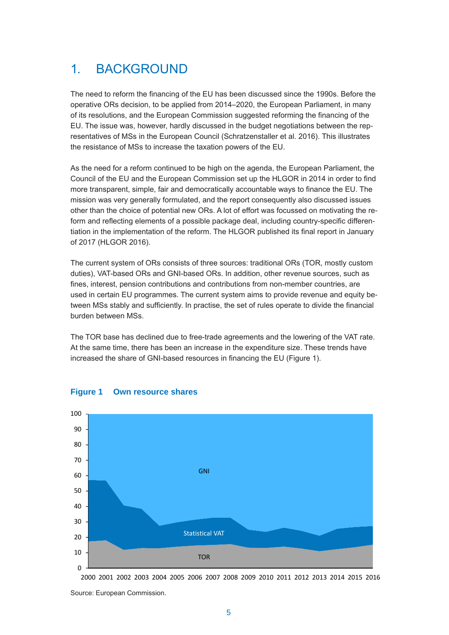# 1. BACKGROUND

The need to reform the financing of the EU has been discussed since the 1990s. Before the operative ORs decision, to be applied from 2014–2020, the European Parliament, in many of its resolutions, and the European Commission suggested reforming the financing of the EU. The issue was, however, hardly discussed in the budget negotiations between the representatives of MSs in the European Council (Schratzenstaller et al. 2016). This illustrates the resistance of MSs to increase the taxation powers of the EU.

As the need for a reform continued to be high on the agenda, the European Parliament, the Council of the EU and the European Commission set up the HLGOR in 2014 in order to find more transparent, simple, fair and democratically accountable ways to finance the EU. The mission was very generally formulated, and the report consequently also discussed issues other than the choice of potential new ORs. A lot of effort was focussed on motivating the reform and reflecting elements of a possible package deal, including country-specific differentiation in the implementation of the reform. The HLGOR published its final report in January of 2017 (HLGOR 2016).

The current system of ORs consists of three sources: traditional ORs (TOR, mostly custom duties), VAT-based ORs and GNI-based ORs. In addition, other revenue sources, such as fines, interest, pension contributions and contributions from non-member countries, are used in certain EU programmes. The current system aims to provide revenue and equity between MSs stably and sufficiently. In practise, the set of rules operate to divide the financial burden between MSs.

increased the share of GNI-based resources in financing the EU (Figure 1). The TOR base has declined due to free-trade agreements and the lowering of the VAT rate. At the same time, there has been an increase in the expenditure size. These trends have



#### **Figure 1 Own resource shares**

2000 2001 2002 2003 2004 2005 2006 2007 2008 2009 2010 2011 2012 2013 2014 2015 2016

Source: European Commission.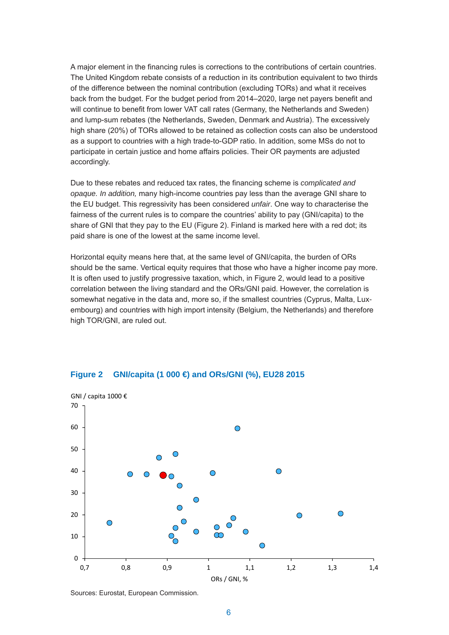A major element in the financing rules is corrections to the contributions of certain countries. The United Kingdom rebate consists of a reduction in its contribution equivalent to two thirds of the difference between the nominal contribution (excluding TORs) and what it receives back from the budget. For the budget period from 2014–2020, large net payers benefit and will continue to benefit from lower VAT call rates (Germany, the Netherlands and Sweden) and lump-sum rebates (the Netherlands, Sweden, Denmark and Austria). The excessively high share (20%) of TORs allowed to be retained as collection costs can also be understood as a support to countries with a high trade-to-GDP ratio. In addition, some MSs do not to participate in certain justice and home affairs policies. Their OR payments are adjusted accordingly.

Due to these rebates and reduced tax rates, the financing scheme is *complicated and opaque. In addition,* many high-income countries pay less than the average GNI share to the EU budget. This regressivity has been considered *unfair*. One way to characterise the fairness of the current rules is to compare the countries' ability to pay (GNI/capita) to the share of GNI that they pay to the EU (Figure 2). Finland is marked here with a red dot; its paid share is one of the lowest at the same income level.

Horizontal equity means here that, at the same level of GNI/capita, the burden of ORs should be the same. Vertical equity requires that those who have a higher income pay more. It is often used to justify progressive taxation, which, in Figure 2, would lead to a positive correlation between the living standard and the ORs/GNI paid. However, the correlation is somewhat negative in the data and, more so, if the smallest countries (Cyprus, Malta, Luxembourg) and countries with high import intensity (Belgium, the Netherlands) and therefore high TOR/GNI, are ruled out.



# **GNI/capita (1 000 €) and ORs/GNI (%), EU28 2015 Figure 2 GNI/capita (1 000 €) and ORs/GNI (%), EU28 2015**

Sources: Eurostat, European Commission.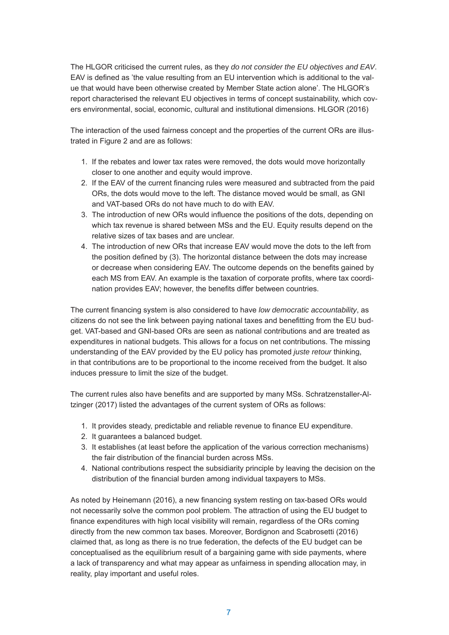The HLGOR criticised the current rules, as they *do not consider the EU objectives and EAV*. EAV is defined as 'the value resulting from an EU intervention which is additional to the value that would have been otherwise created by Member State action alone'. The HLGOR's report characterised the relevant EU objectives in terms of concept sustainability, which covers environmental, social, economic, cultural and institutional dimensions. HLGOR (2016)

The interaction of the used fairness concept and the properties of the current ORs are illustrated in Figure 2 and are as follows:

- 1. If the rebates and lower tax rates were removed, the dots would move horizontally closer to one another and equity would improve.
- 2. If the EAV of the current financing rules were measured and subtracted from the paid ORs, the dots would move to the left. The distance moved would be small, as GNI and VAT-based ORs do not have much to do with EAV.
- 3. The introduction of new ORs would influence the positions of the dots, depending on which tax revenue is shared between MSs and the EU. Equity results depend on the relative sizes of tax bases and are unclear.
- 4. The introduction of new ORs that increase EAV would move the dots to the left from the position defined by (3). The horizontal distance between the dots may increase or decrease when considering EAV. The outcome depends on the benefits gained by each MS from EAV. An example is the taxation of corporate profits, where tax coordination provides EAV; however, the benefits differ between countries.

The current financing system is also considered to have *low democratic accountability*, as citizens do not see the link between paying national taxes and benefitting from the EU budget. VAT-based and GNI-based ORs are seen as national contributions and are treated as expenditures in national budgets. This allows for a focus on net contributions. The missing understanding of the EAV provided by the EU policy has promoted *juste retour* thinking, in that contributions are to be proportional to the income received from the budget. It also induces pressure to limit the size of the budget.

The current rules also have benefits and are supported by many MSs. Schratzenstaller-Altzinger (2017) listed the advantages of the current system of ORs as follows:

- 1. It provides steady, predictable and reliable revenue to finance EU expenditure.
- 2. It guarantees a balanced budget.
- 3. It establishes (at least before the application of the various correction mechanisms) the fair distribution of the financial burden across MSs.
- 4. National contributions respect the subsidiarity principle by leaving the decision on the distribution of the financial burden among individual taxpayers to MSs.

As noted by Heinemann (2016), a new financing system resting on tax-based ORs would not necessarily solve the common pool problem. The attraction of using the EU budget to finance expenditures with high local visibility will remain, regardless of the ORs coming directly from the new common tax bases. Moreover, Bordignon and Scabrosetti (2016) claimed that, as long as there is no true federation, the defects of the EU budget can be conceptualised as the equilibrium result of a bargaining game with side payments, where a lack of transparency and what may appear as unfairness in spending allocation may, in reality, play important and useful roles.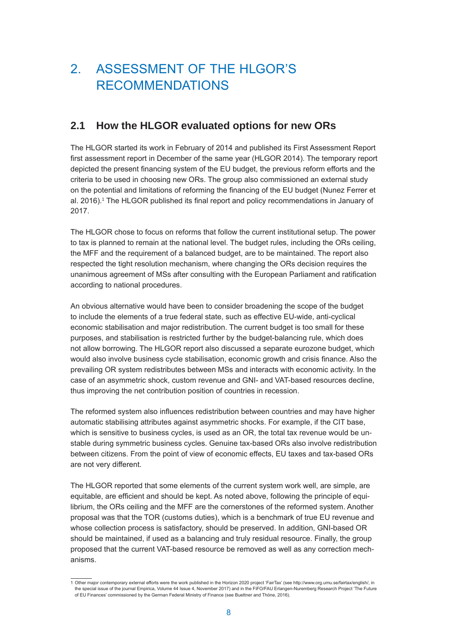# 2. ASSESSMENT OF THE HLGOR'S RECOMMENDATIONS

# **2.1 How the HLGOR evaluated options for new ORs**

The HLGOR started its work in February of 2014 and published its First Assessment Report first assessment report in December of the same year (HLGOR 2014). The temporary report depicted the present financing system of the EU budget, the previous reform efforts and the criteria to be used in choosing new ORs. The group also commissioned an external study on the potential and limitations of reforming the financing of the EU budget (Nunez Ferrer et al. 2016).<sup>1</sup> The HLGOR published its final report and policy recommendations in January of 2017.

The HLGOR chose to focus on reforms that follow the current institutional setup. The power to tax is planned to remain at the national level. The budget rules, including the ORs ceiling, the MFF and the requirement of a balanced budget, are to be maintained. The report also respected the tight resolution mechanism, where changing the ORs decision requires the unanimous agreement of MSs after consulting with the European Parliament and ratification according to national procedures.

An obvious alternative would have been to consider broadening the scope of the budget to include the elements of a true federal state, such as effective EU-wide, anti-cyclical economic stabilisation and major redistribution. The current budget is too small for these purposes, and stabilisation is restricted further by the budget-balancing rule, which does not allow borrowing. The HLGOR report also discussed a separate eurozone budget, which would also involve business cycle stabilisation, economic growth and crisis finance. Also the prevailing OR system redistributes between MSs and interacts with economic activity. In the case of an asymmetric shock, custom revenue and GNI- and VAT-based resources decline, thus improving the net contribution position of countries in recession.

The reformed system also influences redistribution between countries and may have higher automatic stabilising attributes against asymmetric shocks. For example, if the CIT base, which is sensitive to business cycles, is used as an OR, the total tax revenue would be unstable during symmetric business cycles. Genuine tax-based ORs also involve redistribution between citizens. From the point of view of economic effects, EU taxes and tax-based ORs are not very different.

The HLGOR reported that some elements of the current system work well, are simple, are equitable, are efficient and should be kept. As noted above, following the principle of equilibrium, the ORs ceiling and the MFF are the cornerstones of the reformed system. Another proposal was that the TOR (customs duties), which is a benchmark of true EU revenue and whose collection process is satisfactory, should be preserved. In addition, GNI-based OR should be maintained, if used as a balancing and truly residual resource. Finally, the group proposed that the current VAT-based resource be removed as well as any correction mechanisms.

<sup>1</sup> Other major contemporary external efforts were the work published in the Horizon 2020 project 'FairTax' (see http://www.org.umu.se/fairtax/english/, in the special issue of the journal Empirica, Volume 44 Issue 4, November 2017) and in the FiFO/FAU Erlangen-Nuremberg Research Project 'The Future of EU Finances' commissioned by the German Federal Ministry of Finance (see Buettner and Thöne, 2016).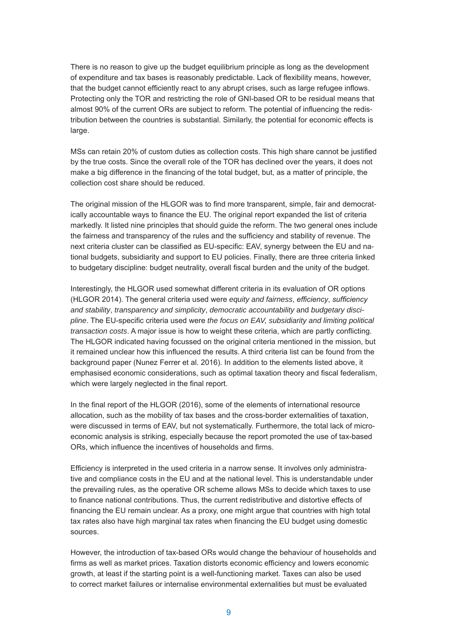There is no reason to give up the budget equilibrium principle as long as the development of expenditure and tax bases is reasonably predictable. Lack of flexibility means, however, that the budget cannot efficiently react to any abrupt crises, such as large refugee inflows. Protecting only the TOR and restricting the role of GNI-based OR to be residual means that almost 90% of the current ORs are subject to reform. The potential of influencing the redistribution between the countries is substantial. Similarly, the potential for economic effects is large.

MSs can retain 20% of custom duties as collection costs. This high share cannot be justified by the true costs. Since the overall role of the TOR has declined over the years, it does not make a big difference in the financing of the total budget, but, as a matter of principle, the collection cost share should be reduced.

The original mission of the HLGOR was to find more transparent, simple, fair and democratically accountable ways to finance the EU. The original report expanded the list of criteria markedly. It listed nine principles that should guide the reform. The two general ones include the fairness and transparency of the rules and the sufficiency and stability of revenue. The next criteria cluster can be classified as EU-specific: EAV, synergy between the EU and national budgets, subsidiarity and support to EU policies. Finally, there are three criteria linked to budgetary discipline: budget neutrality, overall fiscal burden and the unity of the budget.

Interestingly, the HLGOR used somewhat different criteria in its evaluation of OR options (HLGOR 2014). The general criteria used were *equity and fairness*, *efficiency*, *sufficiency and stability*, *transparency and simplicity*, *democratic accountability* and *budgetary discipline*. The EU-specific criteria used were *the focus on EAV, subsidiarity and limiting political transaction costs*. A major issue is how to weight these criteria, which are partly conflicting. The HLGOR indicated having focussed on the original criteria mentioned in the mission, but it remained unclear how this influenced the results. A third criteria list can be found from the background paper (Nunez Ferrer et al. 2016). In addition to the elements listed above, it emphasised economic considerations, such as optimal taxation theory and fiscal federalism, which were largely neglected in the final report.

In the final report of the HLGOR (2016), some of the elements of international resource allocation, such as the mobility of tax bases and the cross-border externalities of taxation, were discussed in terms of EAV, but not systematically. Furthermore, the total lack of microeconomic analysis is striking, especially because the report promoted the use of tax-based ORs, which influence the incentives of households and firms.

Efficiency is interpreted in the used criteria in a narrow sense. It involves only administrative and compliance costs in the EU and at the national level. This is understandable under the prevailing rules, as the operative OR scheme allows MSs to decide which taxes to use to finance national contributions. Thus, the current redistributive and distortive effects of financing the EU remain unclear. As a proxy, one might argue that countries with high total tax rates also have high marginal tax rates when financing the EU budget using domestic sources.

However, the introduction of tax-based ORs would change the behaviour of households and firms as well as market prices. Taxation distorts economic efficiency and lowers economic growth, at least if the starting point is a well-functioning market. Taxes can also be used to correct market failures or internalise environmental externalities but must be evaluated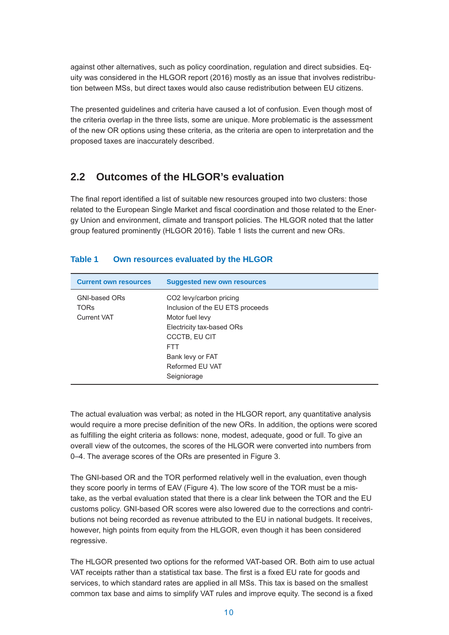against other alternatives, such as policy coordination, regulation and direct subsidies. Equity was considered in the HLGOR report (2016) mostly as an issue that involves redistribution between MSs, but direct taxes would also cause redistribution between EU citizens.

The presented guidelines and criteria have caused a lot of confusion. Even though most of the criteria overlap in the three lists, some are unique. More problematic is the assessment of the new OR options using these criteria, as the criteria are open to interpretation and the proposed taxes are inaccurately described.

# **2.2 Outcomes of the HLGOR's evaluation**

The final report identified a list of suitable new resources grouped into two clusters: those related to the European Single Market and fiscal coordination and those related to the Energy Union and environment, climate and transport policies. The HLGOR noted that the latter group featured prominently (HLGOR 2016). Table 1 lists the current and new ORs.

| <b>Current own resources</b>                              | <b>Suggested new own resources</b>                                                                                                                                                       |
|-----------------------------------------------------------|------------------------------------------------------------------------------------------------------------------------------------------------------------------------------------------|
| <b>GNI-based ORs</b><br><b>TORS</b><br><b>Current VAT</b> | CO2 levy/carbon pricing<br>Inclusion of the EU ETS proceeds<br>Motor fuel levy<br>Electricity tax-based ORs<br><b>CCCTB, EU CIT</b><br><b>FTT</b><br>Bank levy or FAT<br>Reformed EU VAT |
|                                                           | Seigniorage                                                                                                                                                                              |

#### **Table 1 Own resources evaluated by the HLGOR**

The actual evaluation was verbal; as noted in the HLGOR report, any quantitative analysis would require a more precise definition of the new ORs. In addition, the options were scored as fulfilling the eight criteria as follows: none, modest, adequate, good or full. To give an overall view of the outcomes, the scores of the HLGOR were converted into numbers from 0–4. The average scores of the ORs are presented in Figure 3.

The GNI-based OR and the TOR performed relatively well in the evaluation, even though they score poorly in terms of EAV (Figure 4). The low score of the TOR must be a mistake, as the verbal evaluation stated that there is a clear link between the TOR and the EU customs policy. GNI-based OR scores were also lowered due to the corrections and contributions not being recorded as revenue attributed to the EU in national budgets. It receives, however, high points from equity from the HLGOR, even though it has been considered regressive.

The HLGOR presented two options for the reformed VAT-based OR. Both aim to use actual VAT receipts rather than a statistical tax base. The first is a fixed EU rate for goods and services, to which standard rates are applied in all MSs. This tax is based on the smallest common tax base and aims to simplify VAT rules and improve equity. The second is a fixed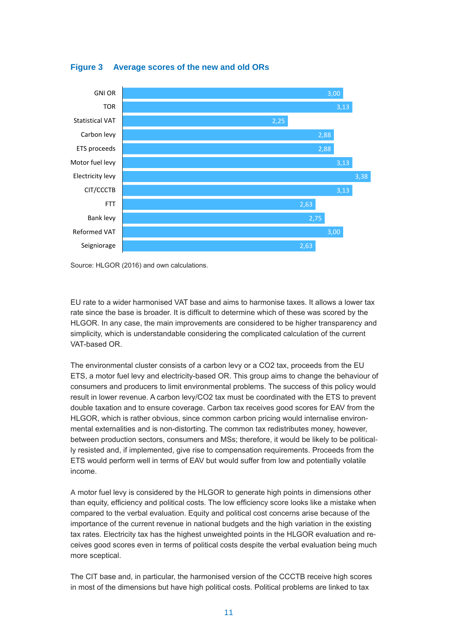

**Figure 3 Average scores of the new and old ORs**

EU rate to a wider harmonised VAT base and aims to harmonise taxes. It allows a lower tax rate since the base is broader. It is difficult to determine which of these was scored by the HLGOR. In any case, the main improvements are considered to be higher transparency and simplicity, which is understandable considering the complicated calculation of the current VAT-based OR.

The environmental cluster consists of a carbon levy or a CO2 tax, proceeds from the EU ETS, a motor fuel levy and electricity-based OR. This group aims to change the behaviour of consumers and producers to limit environmental problems. The success of this policy would result in lower revenue. A carbon levy/CO2 tax must be coordinated with the ETS to prevent double taxation and to ensure coverage. Carbon tax receives good scores for EAV from the HLGOR, which is rather obvious, since common carbon pricing would internalise environmental externalities and is non-distorting. The common tax redistributes money, however, between production sectors, consumers and MSs; therefore, it would be likely to be politically resisted and, if implemented, give rise to compensation requirements. Proceeds from the ETS would perform well in terms of EAV but would suffer from low and potentially volatile income.

A motor fuel levy is considered by the HLGOR to generate high points in dimensions other than equity, efficiency and political costs. The low efficiency score looks like a mistake when compared to the verbal evaluation. Equity and political cost concerns arise because of the importance of the current revenue in national budgets and the high variation in the existing tax rates. Electricity tax has the highest unweighted points in the HLGOR evaluation and receives good scores even in terms of political costs despite the verbal evaluation being much more sceptical.

The CIT base and, in particular, the harmonised version of the CCCTB receive high scores in most of the dimensions but have high political costs. Political problems are linked to tax

Source: HLGOR (2016) and own calculations.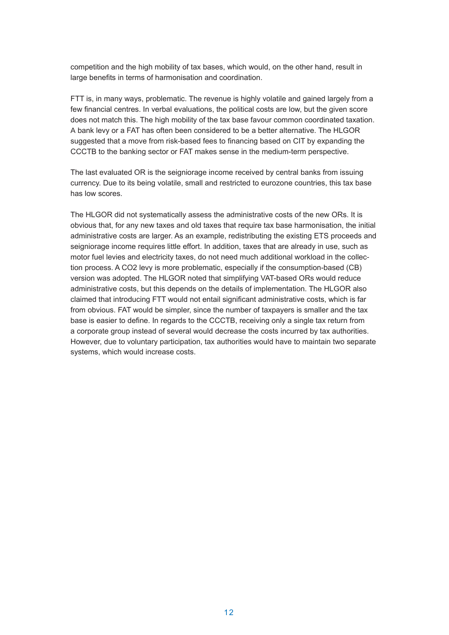competition and the high mobility of tax bases, which would, on the other hand, result in large benefits in terms of harmonisation and coordination.

FTT is, in many ways, problematic. The revenue is highly volatile and gained largely from a few financial centres. In verbal evaluations, the political costs are low, but the given score does not match this. The high mobility of the tax base favour common coordinated taxation. A bank levy or a FAT has often been considered to be a better alternative. The HLGOR suggested that a move from risk-based fees to financing based on CIT by expanding the CCCTB to the banking sector or FAT makes sense in the medium-term perspective.

The last evaluated OR is the seigniorage income received by central banks from issuing currency. Due to its being volatile, small and restricted to eurozone countries, this tax base has low scores.

The HLGOR did not systematically assess the administrative costs of the new ORs. It is obvious that, for any new taxes and old taxes that require tax base harmonisation, the initial administrative costs are larger. As an example, redistributing the existing ETS proceeds and seigniorage income requires little effort. In addition, taxes that are already in use, such as motor fuel levies and electricity taxes, do not need much additional workload in the collection process. A CO2 levy is more problematic, especially if the consumption-based (CB) version was adopted. The HLGOR noted that simplifying VAT-based ORs would reduce administrative costs, but this depends on the details of implementation. The HLGOR also claimed that introducing FTT would not entail significant administrative costs, which is far from obvious. FAT would be simpler, since the number of taxpayers is smaller and the tax base is easier to define. In regards to the CCCTB, receiving only a single tax return from a corporate group instead of several would decrease the costs incurred by tax authorities. However, due to voluntary participation, tax authorities would have to maintain two separate systems, which would increase costs.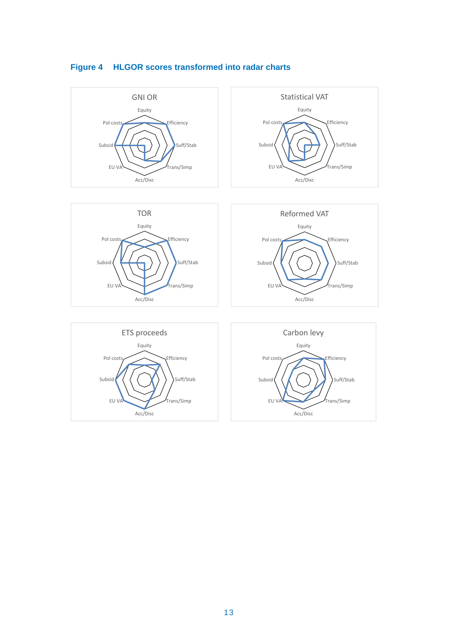

## **Figure 4 HLGOR scores transformed into radar charts**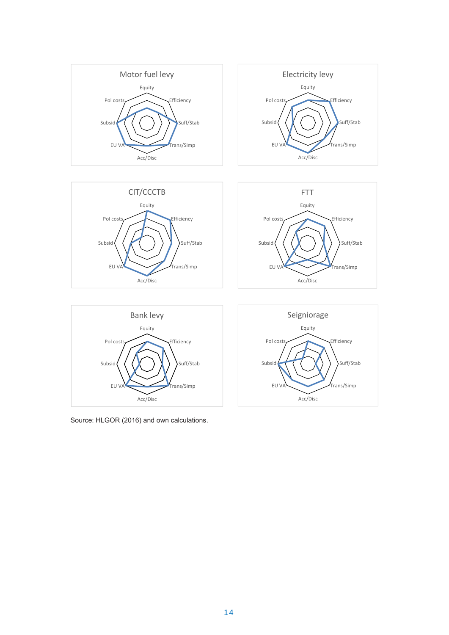



Efficiency

Suff/Stab

Trans/Simp



Acc/Disc

**Efficiency** 

Suff/Stab

Trans/Simp

Source: HLGOR (2016) and own calculations Source: HLGOR (2016) and own calculations.

EU V/

Subsid

Pol costs

Acc/Disc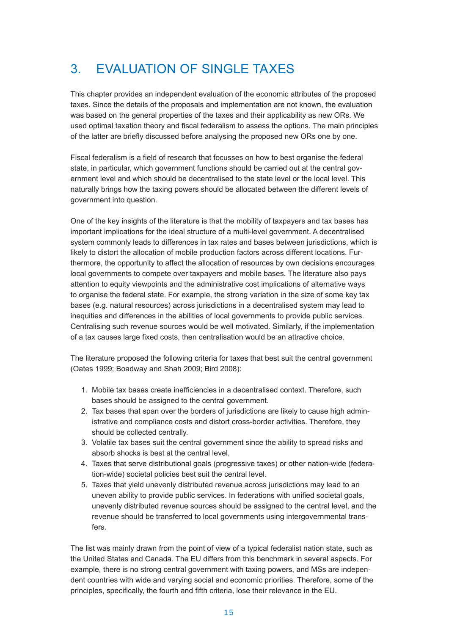# 3. EVALUATION OF SINGLE TAXES

This chapter provides an independent evaluation of the economic attributes of the proposed taxes. Since the details of the proposals and implementation are not known, the evaluation was based on the general properties of the taxes and their applicability as new ORs. We used optimal taxation theory and fiscal federalism to assess the options. The main principles of the latter are briefly discussed before analysing the proposed new ORs one by one.

Fiscal federalism is a field of research that focusses on how to best organise the federal state, in particular, which government functions should be carried out at the central government level and which should be decentralised to the state level or the local level. This naturally brings how the taxing powers should be allocated between the different levels of government into question.

One of the key insights of the literature is that the mobility of taxpayers and tax bases has important implications for the ideal structure of a multi-level government. A decentralised system commonly leads to differences in tax rates and bases between jurisdictions, which is likely to distort the allocation of mobile production factors across different locations. Furthermore, the opportunity to affect the allocation of resources by own decisions encourages local governments to compete over taxpayers and mobile bases. The literature also pays attention to equity viewpoints and the administrative cost implications of alternative ways to organise the federal state. For example, the strong variation in the size of some key tax bases (e.g. natural resources) across jurisdictions in a decentralised system may lead to inequities and differences in the abilities of local governments to provide public services. Centralising such revenue sources would be well motivated. Similarly, if the implementation of a tax causes large fixed costs, then centralisation would be an attractive choice.

The literature proposed the following criteria for taxes that best suit the central government (Oates 1999; Boadway and Shah 2009; Bird 2008):

- 1. Mobile tax bases create inefficiencies in a decentralised context. Therefore, such bases should be assigned to the central government.
- 2. Tax bases that span over the borders of jurisdictions are likely to cause high administrative and compliance costs and distort cross-border activities. Therefore, they should be collected centrally.
- 3. Volatile tax bases suit the central government since the ability to spread risks and absorb shocks is best at the central level.
- 4. Taxes that serve distributional goals (progressive taxes) or other nation-wide (federation-wide) societal policies best suit the central level.
- 5. Taxes that yield unevenly distributed revenue across jurisdictions may lead to an uneven ability to provide public services. In federations with unified societal goals, unevenly distributed revenue sources should be assigned to the central level, and the revenue should be transferred to local governments using intergovernmental transfers.

The list was mainly drawn from the point of view of a typical federalist nation state, such as the United States and Canada. The EU differs from this benchmark in several aspects. For example, there is no strong central government with taxing powers, and MSs are independent countries with wide and varying social and economic priorities. Therefore, some of the principles, specifically, the fourth and fifth criteria, lose their relevance in the EU.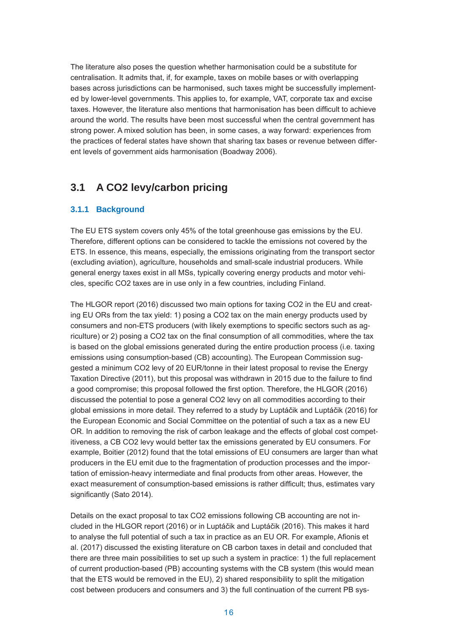The literature also poses the question whether harmonisation could be a substitute for centralisation. It admits that, if, for example, taxes on mobile bases or with overlapping bases across jurisdictions can be harmonised, such taxes might be successfully implemented by lower-level governments. This applies to, for example, VAT, corporate tax and excise taxes. However, the literature also mentions that harmonisation has been difficult to achieve around the world. The results have been most successful when the central government has strong power. A mixed solution has been, in some cases, a way forward: experiences from the practices of federal states have shown that sharing tax bases or revenue between different levels of government aids harmonisation (Boadway 2006).

# **3.1 A CO2 levy/carbon pricing**

## **3.1.1 Background**

The EU ETS system covers only 45% of the total greenhouse gas emissions by the EU. Therefore, different options can be considered to tackle the emissions not covered by the ETS. In essence, this means, especially, the emissions originating from the transport sector (excluding aviation), agriculture, households and small-scale industrial producers. While general energy taxes exist in all MSs, typically covering energy products and motor vehicles, specific CO2 taxes are in use only in a few countries, including Finland.

The HLGOR report (2016) discussed two main options for taxing CO2 in the EU and creating EU ORs from the tax yield: 1) posing a CO2 tax on the main energy products used by consumers and non-ETS producers (with likely exemptions to specific sectors such as agriculture) or 2) posing a CO2 tax on the final consumption of all commodities, where the tax is based on the global emissions generated during the entire production process (i.e. taxing emissions using consumption-based (CB) accounting). The European Commission suggested a minimum CO2 levy of 20 EUR/tonne in their latest proposal to revise the Energy Taxation Directive (2011), but this proposal was withdrawn in 2015 due to the failure to find a good compromise; this proposal followed the first option. Therefore, the HLGOR (2016) discussed the potential to pose a general CO2 levy on all commodities according to their global emissions in more detail. They referred to a study by Luptáčik and Luptáčik (2016) for the European Economic and Social Committee on the potential of such a tax as a new EU OR. In addition to removing the risk of carbon leakage and the effects of global cost competitiveness, a CB CO2 levy would better tax the emissions generated by EU consumers. For example, Boitier (2012) found that the total emissions of EU consumers are larger than what producers in the EU emit due to the fragmentation of production processes and the importation of emission-heavy intermediate and final products from other areas. However, the exact measurement of consumption-based emissions is rather difficult; thus, estimates vary significantly (Sato 2014).

Details on the exact proposal to tax CO2 emissions following CB accounting are not included in the HLGOR report (2016) or in Luptáčik and Luptáčik (2016). This makes it hard to analyse the full potential of such a tax in practice as an EU OR. For example, Afionis et al. (2017) discussed the existing literature on CB carbon taxes in detail and concluded that there are three main possibilities to set up such a system in practice: 1) the full replacement of current production-based (PB) accounting systems with the CB system (this would mean that the ETS would be removed in the EU), 2) shared responsibility to split the mitigation cost between producers and consumers and 3) the full continuation of the current PB sys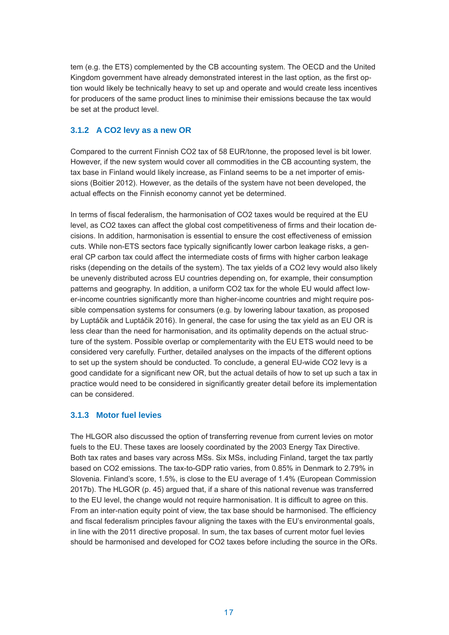tem (e.g. the ETS) complemented by the CB accounting system. The OECD and the United Kingdom government have already demonstrated interest in the last option, as the first option would likely be technically heavy to set up and operate and would create less incentives for producers of the same product lines to minimise their emissions because the tax would be set at the product level.

### **3.1.2 A CO2 levy as a new OR**

Compared to the current Finnish CO2 tax of 58 EUR/tonne, the proposed level is bit lower. However, if the new system would cover all commodities in the CB accounting system, the tax base in Finland would likely increase, as Finland seems to be a net importer of emissions (Boitier 2012). However, as the details of the system have not been developed, the actual effects on the Finnish economy cannot yet be determined.

In terms of fiscal federalism, the harmonisation of CO2 taxes would be required at the EU level, as CO2 taxes can affect the global cost competitiveness of firms and their location decisions. In addition, harmonisation is essential to ensure the cost effectiveness of emission cuts. While non-ETS sectors face typically significantly lower carbon leakage risks, a general CP carbon tax could affect the intermediate costs of firms with higher carbon leakage risks (depending on the details of the system). The tax yields of a CO2 levy would also likely be unevenly distributed across EU countries depending on, for example, their consumption patterns and geography. In addition, a uniform CO2 tax for the whole EU would affect lower-income countries significantly more than higher-income countries and might require possible compensation systems for consumers (e.g. by lowering labour taxation, as proposed by Luptáčik and Luptáčik 2016). In general, the case for using the tax yield as an EU OR is less clear than the need for harmonisation, and its optimality depends on the actual structure of the system. Possible overlap or complementarity with the EU ETS would need to be considered very carefully. Further, detailed analyses on the impacts of the different options to set up the system should be conducted. To conclude, a general EU-wide CO2 levy is a good candidate for a significant new OR, but the actual details of how to set up such a tax in practice would need to be considered in significantly greater detail before its implementation can be considered.

### **3.1.3 Motor fuel levies**

The HLGOR also discussed the option of transferring revenue from current levies on motor fuels to the EU. These taxes are loosely coordinated by the 2003 Energy Tax Directive. Both tax rates and bases vary across MSs. Six MSs, including Finland, target the tax partly based on CO2 emissions. The tax-to-GDP ratio varies, from 0.85% in Denmark to 2.79% in Slovenia. Finland's score, 1.5%, is close to the EU average of 1.4% (European Commission 2017b). The HLGOR (p. 45) argued that, if a share of this national revenue was transferred to the EU level, the change would not require harmonisation. It is difficult to agree on this. From an inter-nation equity point of view, the tax base should be harmonised. The efficiency and fiscal federalism principles favour aligning the taxes with the EU's environmental goals, in line with the 2011 directive proposal. In sum, the tax bases of current motor fuel levies should be harmonised and developed for CO2 taxes before including the source in the ORs.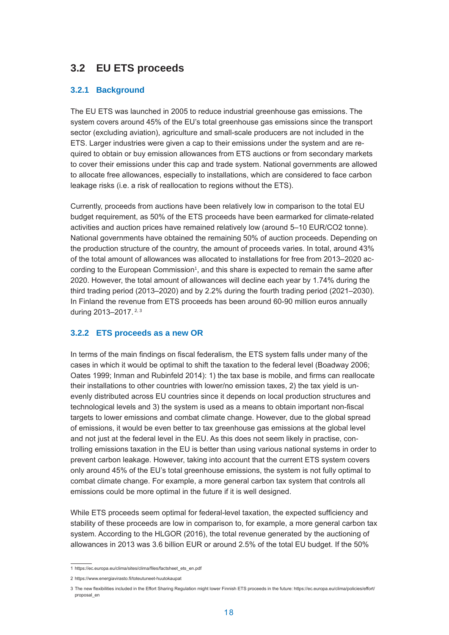# **3.2 EU ETS proceeds**

#### **3.2.1 Background**

The EU ETS was launched in 2005 to reduce industrial greenhouse gas emissions. The system covers around 45% of the EU's total greenhouse gas emissions since the transport sector (excluding aviation), agriculture and small-scale producers are not included in the ETS. Larger industries were given a cap to their emissions under the system and are required to obtain or buy emission allowances from ETS auctions or from secondary markets to cover their emissions under this cap and trade system. National governments are allowed to allocate free allowances, especially to installations, which are considered to face carbon leakage risks (i.e. a risk of reallocation to regions without the ETS).

Currently, proceeds from auctions have been relatively low in comparison to the total EU budget requirement, as 50% of the ETS proceeds have been earmarked for climate-related activities and auction prices have remained relatively low (around 5–10 EUR/CO2 tonne). National governments have obtained the remaining 50% of auction proceeds. Depending on the production structure of the country, the amount of proceeds varies. In total, around 43% of the total amount of allowances was allocated to installations for free from 2013–2020 according to the European Commission<sup>1</sup>, and this share is expected to remain the same after 2020. However, the total amount of allowances will decline each year by 1.74% during the third trading period (2013–2020) and by 2.2% during the fourth trading period (2021–2030). In Finland the revenue from ETS proceeds has been around 60-90 million euros annually during 2013-2017.<sup>2, 3</sup>

#### **3.2.2 ETS proceeds as a new OR**

In terms of the main findings on fiscal federalism, the ETS system falls under many of the cases in which it would be optimal to shift the taxation to the federal level (Boadway 2006; Oates 1999; Inman and Rubinfeld 2014): 1) the tax base is mobile, and firms can reallocate their installations to other countries with lower/no emission taxes, 2) the tax yield is unevenly distributed across EU countries since it depends on local production structures and technological levels and 3) the system is used as a means to obtain important non-fiscal targets to lower emissions and combat climate change. However, due to the global spread of emissions, it would be even better to tax greenhouse gas emissions at the global level and not just at the federal level in the EU. As this does not seem likely in practise, controlling emissions taxation in the EU is better than using various national systems in order to prevent carbon leakage. However, taking into account that the current ETS system covers only around 45% of the EU's total greenhouse emissions, the system is not fully optimal to combat climate change. For example, a more general carbon tax system that controls all emissions could be more optimal in the future if it is well designed.

While ETS proceeds seem optimal for federal-level taxation, the expected sufficiency and stability of these proceeds are low in comparison to, for example, a more general carbon tax system. According to the HLGOR (2016), the total revenue generated by the auctioning of allowances in 2013 was 3.6 billion EUR or around 2.5% of the total EU budget. If the 50%

<sup>1</sup> https://ec.europa.eu/clima/sites/clima/files/factsheet\_ets\_en.pdf

<sup>2</sup> https://www.energiavirasto.fi/toteutuneet-huutokaupat

<sup>3</sup> The new flexibilities included in the Effort Sharing Regulation might lower Finnish ETS proceeds in the future: https://ec.europa.eu/clima/policies/effort/ proposal\_en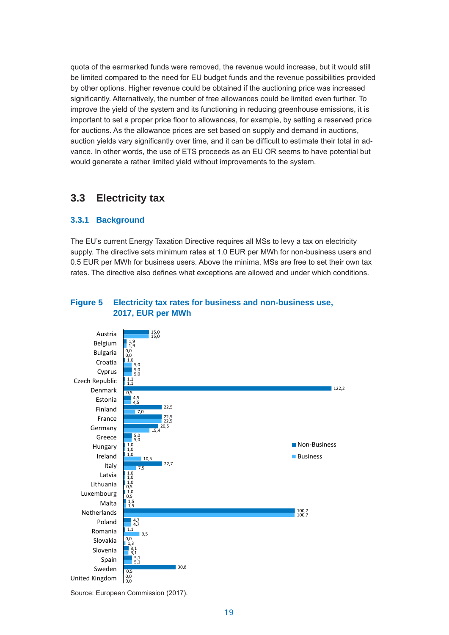quota of the earmarked funds were removed, the revenue would increase, but it would still be limited compared to the need for EU budget funds and the revenue possibilities provided by other options. Higher revenue could be obtained if the auctioning price was increased significantly. Alternatively, the number of free allowances could be limited even further. To improve the yield of the system and its functioning in reducing greenhouse emissions, it is important to set a proper price floor to allowances, for example, by setting a reserved price for auctions. As the allowance prices are set based on supply and demand in auctions, auction yields vary significantly over time, and it can be difficult to estimate their total in advance. In other words, the use of ETS proceeds as an EU OR seems to have potential but would generate a rather limited yield without improvements to the system.

## **3.3 Electricity tax**

### **3.3.1 Background**

The EU's current Energy Taxation Directive requires all MSs to levy a tax on electricity supply. The directive sets minimum rates at 1.0 EUR per MWh for non-business users and 0.5 EUR per MWh for business users. Above the minima, MSs are free to set their own tax rates. The directive also defines what exceptions are allowed and under which conditions.

## **Figure 5 Electricity tax rates for business and non-business use, 2017, EUR per MWh**



Source: European Commission (2017).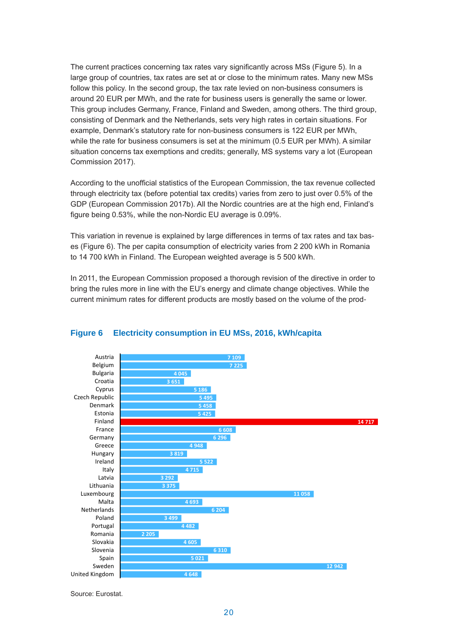The current practices concerning tax rates vary significantly across MSs (Figure 5). In a large group of countries, tax rates are set at or close to the minimum rates. Many new MSs follow this policy. In the second group, the tax rate levied on non-business consumers is around 20 EUR per MWh, and the rate for business users is generally the same or lower. This group includes Germany, France, Finland and Sweden, among others. The third group, consisting of Denmark and the Netherlands, sets very high rates in certain situations. For example, Denmark's statutory rate for non-business consumers is 122 EUR per MWh, while the rate for business consumers is set at the minimum (0.5 EUR per MWh). A similar situation concerns tax exemptions and credits; generally, MS systems vary a lot (European Commission 2017).

According to the unofficial statistics of the European Commission, the tax revenue collected through electricity tax (before potential tax credits) varies from zero to just over 0.5% of the GDP (European Commission 2017b). All the Nordic countries are at the high end, Finland's figure being 0.53%, while the non-Nordic EU average is 0.09%.

This variation in revenue is explained by large differences in terms of tax rates and tax bases (Figure 6). The per capita consumption of electricity varies from 2 200 kWh in Romania to 14 700 kWh in Finland. The European weighted average is 5 500 kWh.

In 2011, the European Commission proposed a thorough revision of the directive in order to bring the rules more in line with the EU's energy and climate change objectives. While the current minimum rates for different products are mostly based on the volume of the prod-



#### **Electricity consumption in EU MSs, 2016, kWh/capita Figure 6 Electricity consumption in EU MSs, 2016, kWh/capita**

Source: Eurostat.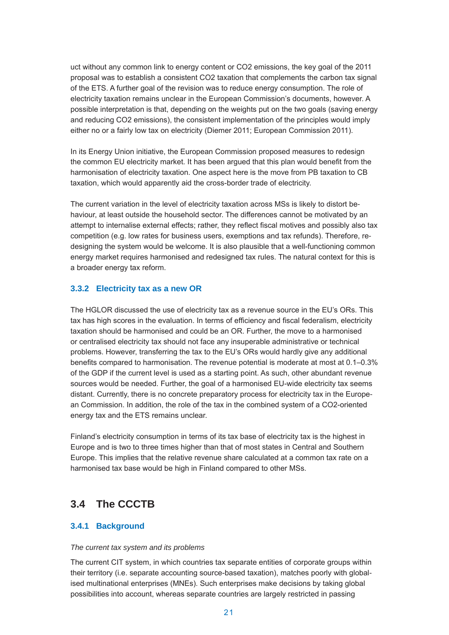uct without any common link to energy content or CO2 emissions, the key goal of the 2011 proposal was to establish a consistent CO2 taxation that complements the carbon tax signal of the ETS. A further goal of the revision was to reduce energy consumption. The role of electricity taxation remains unclear in the European Commission's documents, however. A possible interpretation is that, depending on the weights put on the two goals (saving energy and reducing CO2 emissions), the consistent implementation of the principles would imply either no or a fairly low tax on electricity (Diemer 2011; European Commission 2011).

In its Energy Union initiative, the European Commission proposed measures to redesign the common EU electricity market. It has been argued that this plan would benefit from the harmonisation of electricity taxation. One aspect here is the move from PB taxation to CB taxation, which would apparently aid the cross-border trade of electricity.

The current variation in the level of electricity taxation across MSs is likely to distort behaviour, at least outside the household sector. The differences cannot be motivated by an attempt to internalise external effects; rather, they reflect fiscal motives and possibly also tax competition (e.g. low rates for business users, exemptions and tax refunds). Therefore, redesigning the system would be welcome. It is also plausible that a well-functioning common energy market requires harmonised and redesigned tax rules. The natural context for this is a broader energy tax reform.

### **3.3.2 Electricity tax as a new OR**

The HGLOR discussed the use of electricity tax as a revenue source in the EU's ORs. This tax has high scores in the evaluation. In terms of efficiency and fiscal federalism, electricity taxation should be harmonised and could be an OR. Further, the move to a harmonised or centralised electricity tax should not face any insuperable administrative or technical problems. However, transferring the tax to the EU's ORs would hardly give any additional benefits compared to harmonisation. The revenue potential is moderate at most at 0.1–0.3% of the GDP if the current level is used as a starting point. As such, other abundant revenue sources would be needed. Further, the goal of a harmonised EU-wide electricity tax seems distant. Currently, there is no concrete preparatory process for electricity tax in the European Commission. In addition, the role of the tax in the combined system of a CO2-oriented energy tax and the ETS remains unclear.

Finland's electricity consumption in terms of its tax base of electricity tax is the highest in Europe and is two to three times higher than that of most states in Central and Southern Europe. This implies that the relative revenue share calculated at a common tax rate on a harmonised tax base would be high in Finland compared to other MSs.

# **3.4 The CCCTB**

## **3.4.1 Background**

#### *The current tax system and its problems*

The current CIT system, in which countries tax separate entities of corporate groups within their territory (i.e. separate accounting source-based taxation), matches poorly with globalised multinational enterprises (MNEs). Such enterprises make decisions by taking global possibilities into account, whereas separate countries are largely restricted in passing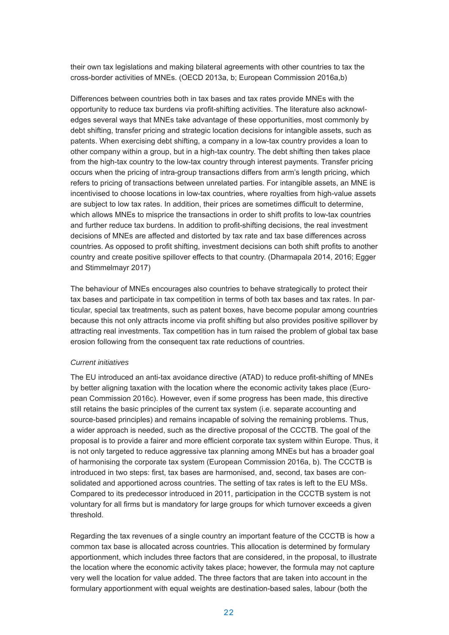their own tax legislations and making bilateral agreements with other countries to tax the cross-border activities of MNEs. (OECD 2013a, b; European Commission 2016a,b)

Differences between countries both in tax bases and tax rates provide MNEs with the opportunity to reduce tax burdens via profit-shifting activities. The literature also acknowledges several ways that MNEs take advantage of these opportunities, most commonly by debt shifting, transfer pricing and strategic location decisions for intangible assets, such as patents. When exercising debt shifting, a company in a low-tax country provides a loan to other company within a group, but in a high-tax country. The debt shifting then takes place from the high-tax country to the low-tax country through interest payments. Transfer pricing occurs when the pricing of intra-group transactions differs from arm's length pricing, which refers to pricing of transactions between unrelated parties. For intangible assets, an MNE is incentivised to choose locations in low-tax countries, where royalties from high-value assets are subject to low tax rates. In addition, their prices are sometimes difficult to determine, which allows MNEs to misprice the transactions in order to shift profits to low-tax countries and further reduce tax burdens. In addition to profit-shifting decisions, the real investment decisions of MNEs are affected and distorted by tax rate and tax base differences across countries. As opposed to profit shifting, investment decisions can both shift profits to another country and create positive spillover effects to that country. (Dharmapala 2014, 2016; Egger and Stimmelmayr 2017)

The behaviour of MNEs encourages also countries to behave strategically to protect their tax bases and participate in tax competition in terms of both tax bases and tax rates. In particular, special tax treatments, such as patent boxes, have become popular among countries because this not only attracts income via profit shifting but also provides positive spillover by attracting real investments. Tax competition has in turn raised the problem of global tax base erosion following from the consequent tax rate reductions of countries.

#### *Current initiatives*

The EU introduced an anti-tax avoidance directive (ATAD) to reduce profit-shifting of MNEs by better aligning taxation with the location where the economic activity takes place (European Commission 2016c). However, even if some progress has been made, this directive still retains the basic principles of the current tax system (i.e. separate accounting and source-based principles) and remains incapable of solving the remaining problems. Thus, a wider approach is needed, such as the directive proposal of the CCCTB. The goal of the proposal is to provide a fairer and more efficient corporate tax system within Europe. Thus, it is not only targeted to reduce aggressive tax planning among MNEs but has a broader goal of harmonising the corporate tax system (European Commission 2016a, b). The CCCTB is introduced in two steps: first, tax bases are harmonised, and, second, tax bases are consolidated and apportioned across countries. The setting of tax rates is left to the EU MSs. Compared to its predecessor introduced in 2011, participation in the CCCTB system is not voluntary for all firms but is mandatory for large groups for which turnover exceeds a given threshold.

Regarding the tax revenues of a single country an important feature of the CCCTB is how a common tax base is allocated across countries. This allocation is determined by formulary apportionment, which includes three factors that are considered, in the proposal, to illustrate the location where the economic activity takes place; however, the formula may not capture very well the location for value added. The three factors that are taken into account in the formulary apportionment with equal weights are destination-based sales, labour (both the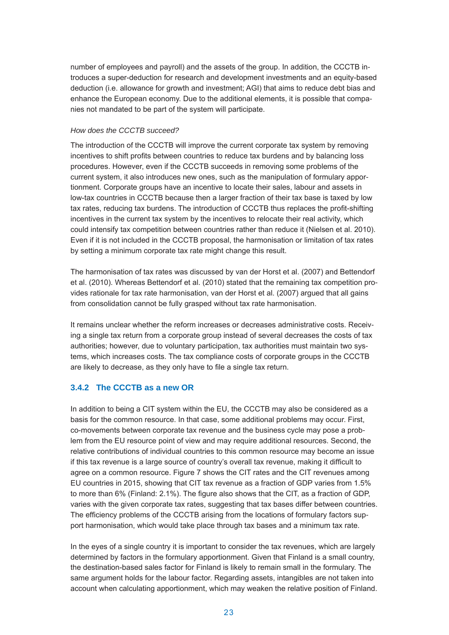number of employees and payroll) and the assets of the group. In addition, the CCCTB introduces a super-deduction for research and development investments and an equity-based deduction (i.e. allowance for growth and investment; AGI) that aims to reduce debt bias and enhance the European economy. Due to the additional elements, it is possible that companies not mandated to be part of the system will participate.

#### *How does the CCCTB succeed?*

The introduction of the CCCTB will improve the current corporate tax system by removing incentives to shift profits between countries to reduce tax burdens and by balancing loss procedures. However, even if the CCCTB succeeds in removing some problems of the current system, it also introduces new ones, such as the manipulation of formulary apportionment. Corporate groups have an incentive to locate their sales, labour and assets in low-tax countries in CCCTB because then a larger fraction of their tax base is taxed by low tax rates, reducing tax burdens. The introduction of CCCTB thus replaces the profit-shifting incentives in the current tax system by the incentives to relocate their real activity, which could intensify tax competition between countries rather than reduce it (Nielsen et al. 2010). Even if it is not included in the CCCTB proposal, the harmonisation or limitation of tax rates by setting a minimum corporate tax rate might change this result.

The harmonisation of tax rates was discussed by van der Horst et al. (2007) and Bettendorf et al. (2010). Whereas Bettendorf et al. (2010) stated that the remaining tax competition provides rationale for tax rate harmonisation, van der Horst et al. (2007) argued that all gains from consolidation cannot be fully grasped without tax rate harmonisation.

It remains unclear whether the reform increases or decreases administrative costs. Receiving a single tax return from a corporate group instead of several decreases the costs of tax authorities; however, due to voluntary participation, tax authorities must maintain two systems, which increases costs. The tax compliance costs of corporate groups in the CCCTB are likely to decrease, as they only have to file a single tax return.

### **3.4.2 The CCCTB as a new OR**

In addition to being a CIT system within the EU, the CCCTB may also be considered as a basis for the common resource. In that case, some additional problems may occur. First, co-movements between corporate tax revenue and the business cycle may pose a problem from the EU resource point of view and may require additional resources. Second, the relative contributions of individual countries to this common resource may become an issue if this tax revenue is a large source of country's overall tax revenue, making it difficult to agree on a common resource. Figure 7 shows the CIT rates and the CIT revenues among EU countries in 2015, showing that CIT tax revenue as a fraction of GDP varies from 1.5% to more than 6% (Finland: 2.1%). The figure also shows that the CIT, as a fraction of GDP, varies with the given corporate tax rates, suggesting that tax bases differ between countries. The efficiency problems of the CCCTB arising from the locations of formulary factors support harmonisation, which would take place through tax bases and a minimum tax rate.

In the eyes of a single country it is important to consider the tax revenues, which are largely determined by factors in the formulary apportionment. Given that Finland is a small country, the destination-based sales factor for Finland is likely to remain small in the formulary. The same argument holds for the labour factor. Regarding assets, intangibles are not taken into account when calculating apportionment, which may weaken the relative position of Finland.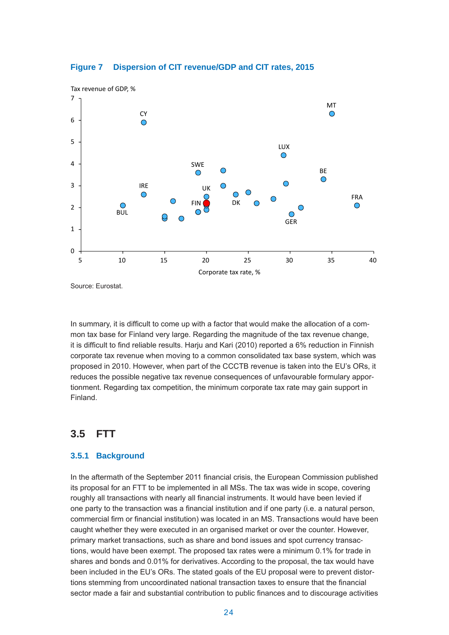

# **Dispersion of CIT revenue/GDP and CIT rates, 2015 Figure 7 Dispersion of CIT revenue/GDP and CIT rates, 2015**

Source: Eurostat.

In summary, it is difficult to come up with a factor that would make the allocation of a common tax base for Finland very large. Regarding the magnitude of the tax revenue change, it is difficult to find reliable results. Harju and Kari (2010) reported a 6% reduction in Finnish corporate tax revenue when moving to a common consolidated tax base system, which was proposed in 2010. However, when part of the CCCTB revenue is taken into the EU's ORs, it reduces the possible negative tax revenue consequences of unfavourable formulary apportionment. Regarding tax competition, the minimum corporate tax rate may gain support in Finland.

# **3.5 FTT**

### **3.5.1 Background**

In the aftermath of the September 2011 financial crisis, the European Commission published its proposal for an FTT to be implemented in all MSs. The tax was wide in scope, covering roughly all transactions with nearly all financial instruments. It would have been levied if one party to the transaction was a financial institution and if one party (i.e. a natural person, commercial firm or financial institution) was located in an MS. Transactions would have been caught whether they were executed in an organised market or over the counter. However, primary market transactions, such as share and bond issues and spot currency transactions, would have been exempt. The proposed tax rates were a minimum 0.1% for trade in shares and bonds and 0.01% for derivatives. According to the proposal, the tax would have been included in the EU's ORs. The stated goals of the EU proposal were to prevent distortions stemming from uncoordinated national transaction taxes to ensure that the financial sector made a fair and substantial contribution to public finances and to discourage activities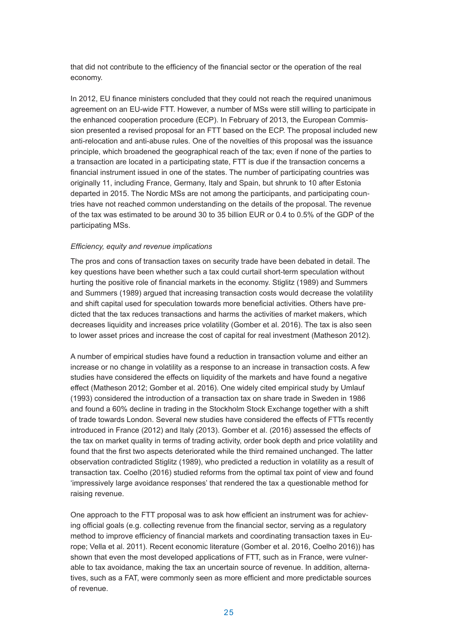that did not contribute to the efficiency of the financial sector or the operation of the real economy.

In 2012, EU finance ministers concluded that they could not reach the required unanimous agreement on an EU-wide FTT. However, a number of MSs were still willing to participate in the enhanced cooperation procedure (ECP). In February of 2013, the European Commission presented a revised proposal for an FTT based on the ECP. The proposal included new anti-relocation and anti-abuse rules. One of the novelties of this proposal was the issuance principle, which broadened the geographical reach of the tax; even if none of the parties to a transaction are located in a participating state, FTT is due if the transaction concerns a financial instrument issued in one of the states. The number of participating countries was originally 11, including France, Germany, Italy and Spain, but shrunk to 10 after Estonia departed in 2015. The Nordic MSs are not among the participants, and participating countries have not reached common understanding on the details of the proposal. The revenue of the tax was estimated to be around 30 to 35 billion EUR or 0.4 to 0.5% of the GDP of the participating MSs.

#### *Efficiency, equity and revenue implications*

The pros and cons of transaction taxes on security trade have been debated in detail. The key questions have been whether such a tax could curtail short-term speculation without hurting the positive role of financial markets in the economy. Stiglitz (1989) and Summers and Summers (1989) argued that increasing transaction costs would decrease the volatility and shift capital used for speculation towards more beneficial activities. Others have predicted that the tax reduces transactions and harms the activities of market makers, which decreases liquidity and increases price volatility (Gomber et al. 2016). The tax is also seen to lower asset prices and increase the cost of capital for real investment (Matheson 2012).

A number of empirical studies have found a reduction in transaction volume and either an increase or no change in volatility as a response to an increase in transaction costs. A few studies have considered the effects on liquidity of the markets and have found a negative effect (Matheson 2012; Gomber et al. 2016). One widely cited empirical study by Umlauf (1993) considered the introduction of a transaction tax on share trade in Sweden in 1986 and found a 60% decline in trading in the Stockholm Stock Exchange together with a shift of trade towards London. Several new studies have considered the effects of FTTs recently introduced in France (2012) and Italy (2013). Gomber et al. (2016) assessed the effects of the tax on market quality in terms of trading activity, order book depth and price volatility and found that the first two aspects deteriorated while the third remained unchanged. The latter observation contradicted Stiglitz (1989), who predicted a reduction in volatility as a result of transaction tax. Coelho (2016) studied reforms from the optimal tax point of view and found 'impressively large avoidance responses' that rendered the tax a questionable method for raising revenue.

One approach to the FTT proposal was to ask how efficient an instrument was for achieving official goals (e.g. collecting revenue from the financial sector, serving as a regulatory method to improve efficiency of financial markets and coordinating transaction taxes in Europe; Vella et al. 2011). Recent economic literature (Gomber et al. 2016, Coelho 2016)) has shown that even the most developed applications of FTT, such as in France, were vulnerable to tax avoidance, making the tax an uncertain source of revenue. In addition, alternatives, such as a FAT, were commonly seen as more efficient and more predictable sources of revenue.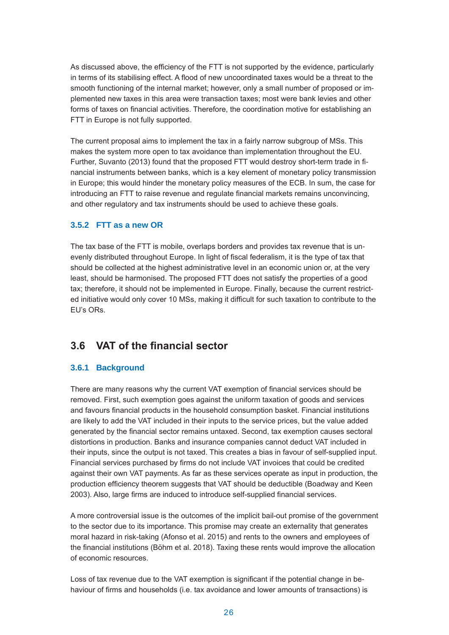As discussed above, the efficiency of the FTT is not supported by the evidence, particularly in terms of its stabilising effect. A flood of new uncoordinated taxes would be a threat to the smooth functioning of the internal market; however, only a small number of proposed or implemented new taxes in this area were transaction taxes; most were bank levies and other forms of taxes on financial activities. Therefore, the coordination motive for establishing an FTT in Europe is not fully supported.

The current proposal aims to implement the tax in a fairly narrow subgroup of MSs. This makes the system more open to tax avoidance than implementation throughout the EU. Further, Suvanto (2013) found that the proposed FTT would destroy short-term trade in financial instruments between banks, which is a key element of monetary policy transmission in Europe; this would hinder the monetary policy measures of the ECB. In sum, the case for introducing an FTT to raise revenue and regulate financial markets remains unconvincing, and other regulatory and tax instruments should be used to achieve these goals.

#### **3.5.2 FTT as a new OR**

The tax base of the FTT is mobile, overlaps borders and provides tax revenue that is unevenly distributed throughout Europe. In light of fiscal federalism, it is the type of tax that should be collected at the highest administrative level in an economic union or, at the very least, should be harmonised. The proposed FTT does not satisfy the properties of a good tax; therefore, it should not be implemented in Europe. Finally, because the current restricted initiative would only cover 10 MSs, making it difficult for such taxation to contribute to the EU's ORs.

## **3.6 VAT of the financial sector**

### **3.6.1 Background**

There are many reasons why the current VAT exemption of financial services should be removed. First, such exemption goes against the uniform taxation of goods and services and favours financial products in the household consumption basket. Financial institutions are likely to add the VAT included in their inputs to the service prices, but the value added generated by the financial sector remains untaxed. Second, tax exemption causes sectoral distortions in production. Banks and insurance companies cannot deduct VAT included in their inputs, since the output is not taxed. This creates a bias in favour of self-supplied input. Financial services purchased by firms do not include VAT invoices that could be credited against their own VAT payments. As far as these services operate as input in production, the production efficiency theorem suggests that VAT should be deductible (Boadway and Keen 2003). Also, large firms are induced to introduce self-supplied financial services.

A more controversial issue is the outcomes of the implicit bail-out promise of the government to the sector due to its importance. This promise may create an externality that generates moral hazard in risk-taking (Afonso et al. 2015) and rents to the owners and employees of the financial institutions (Böhm et al. 2018). Taxing these rents would improve the allocation of economic resources.

Loss of tax revenue due to the VAT exemption is significant if the potential change in behaviour of firms and households (i.e. tax avoidance and lower amounts of transactions) is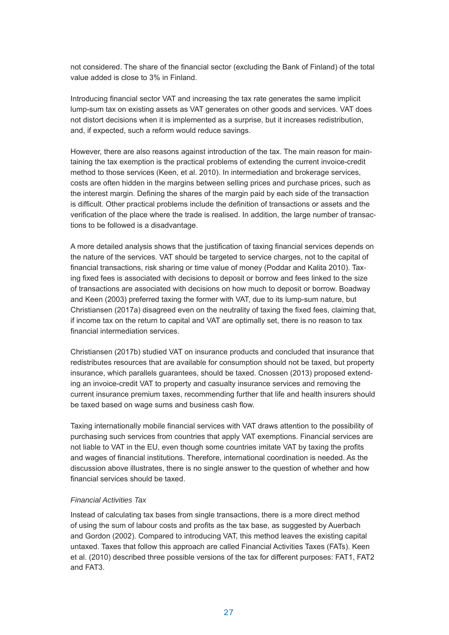not considered. The share of the financial sector (excluding the Bank of Finland) of the total value added is close to 3% in Finland.

Introducing financial sector VAT and increasing the tax rate generates the same implicit lump-sum tax on existing assets as VAT generates on other goods and services. VAT does not distort decisions when it is implemented as a surprise, but it increases redistribution, and, if expected, such a reform would reduce savings.

However, there are also reasons against introduction of the tax. The main reason for maintaining the tax exemption is the practical problems of extending the current invoice-credit method to those services (Keen, et al. 2010). In intermediation and brokerage services, costs are often hidden in the margins between selling prices and purchase prices, such as the interest margin. Defining the shares of the margin paid by each side of the transaction is difficult. Other practical problems include the definition of transactions or assets and the verification of the place where the trade is realised. In addition, the large number of transactions to be followed is a disadvantage.

A more detailed analysis shows that the justification of taxing financial services depends on the nature of the services. VAT should be targeted to service charges, not to the capital of financial transactions, risk sharing or time value of money (Poddar and Kalita 2010). Taxing fixed fees is associated with decisions to deposit or borrow and fees linked to the size of transactions are associated with decisions on how much to deposit or borrow. Boadway and Keen (2003) preferred taxing the former with VAT, due to its lump-sum nature, but Christiansen (2017a) disagreed even on the neutrality of taxing the fixed fees, claiming that, if income tax on the return to capital and VAT are optimally set, there is no reason to tax financial intermediation services.

Christiansen (2017b) studied VAT on insurance products and concluded that insurance that redistributes resources that are available for consumption should not be taxed, but property insurance, which parallels guarantees, should be taxed. Cnossen (2013) proposed extending an invoice-credit VAT to property and casualty insurance services and removing the current insurance premium taxes, recommending further that life and health insurers should be taxed based on wage sums and business cash flow.

Taxing internationally mobile financial services with VAT draws attention to the possibility of purchasing such services from countries that apply VAT exemptions. Financial services are not liable to VAT in the EU, even though some countries imitate VAT by taxing the profits and wages of financial institutions. Therefore, international coordination is needed. As the discussion above illustrates, there is no single answer to the question of whether and how financial services should be taxed.

#### *Financial Activities Tax*

Instead of calculating tax bases from single transactions, there is a more direct method of using the sum of labour costs and profits as the tax base, as suggested by Auerbach and Gordon (2002). Compared to introducing VAT, this method leaves the existing capital untaxed. Taxes that follow this approach are called Financial Activities Taxes (FATs). Keen et al. (2010) described three possible versions of the tax for different purposes: FAT1, FAT2 and FAT3.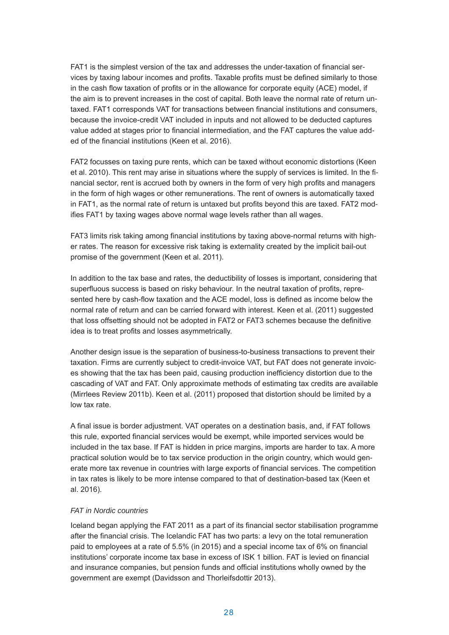FAT1 is the simplest version of the tax and addresses the under-taxation of financial services by taxing labour incomes and profits. Taxable profits must be defined similarly to those in the cash flow taxation of profits or in the allowance for corporate equity (ACE) model, if the aim is to prevent increases in the cost of capital. Both leave the normal rate of return untaxed. FAT1 corresponds VAT for transactions between financial institutions and consumers, because the invoice-credit VAT included in inputs and not allowed to be deducted captures value added at stages prior to financial intermediation, and the FAT captures the value added of the financial institutions (Keen et al. 2016).

FAT2 focusses on taxing pure rents, which can be taxed without economic distortions (Keen et al. 2010). This rent may arise in situations where the supply of services is limited. In the financial sector, rent is accrued both by owners in the form of very high profits and managers in the form of high wages or other remunerations. The rent of owners is automatically taxed in FAT1, as the normal rate of return is untaxed but profits beyond this are taxed. FAT2 modifies FAT1 by taxing wages above normal wage levels rather than all wages.

FAT3 limits risk taking among financial institutions by taxing above-normal returns with higher rates. The reason for excessive risk taking is externality created by the implicit bail-out promise of the government (Keen et al. 2011).

In addition to the tax base and rates, the deductibility of losses is important, considering that superfluous success is based on risky behaviour. In the neutral taxation of profits, represented here by cash-flow taxation and the ACE model, loss is defined as income below the normal rate of return and can be carried forward with interest. Keen et al. (2011) suggested that loss offsetting should not be adopted in FAT2 or FAT3 schemes because the definitive idea is to treat profits and losses asymmetrically.

Another design issue is the separation of business-to-business transactions to prevent their taxation. Firms are currently subject to credit-invoice VAT, but FAT does not generate invoices showing that the tax has been paid, causing production inefficiency distortion due to the cascading of VAT and FAT. Only approximate methods of estimating tax credits are available (Mirrlees Review 2011b). Keen et al. (2011) proposed that distortion should be limited by a low tax rate.

A final issue is border adjustment. VAT operates on a destination basis, and, if FAT follows this rule, exported financial services would be exempt, while imported services would be included in the tax base. If FAT is hidden in price margins, imports are harder to tax. A more practical solution would be to tax service production in the origin country, which would generate more tax revenue in countries with large exports of financial services. The competition in tax rates is likely to be more intense compared to that of destination-based tax (Keen et al. 2016).

#### *FAT in Nordic countries*

Iceland began applying the FAT 2011 as a part of its financial sector stabilisation programme after the financial crisis. The Icelandic FAT has two parts: a levy on the total remuneration paid to employees at a rate of 5.5% (in 2015) and a special income tax of 6% on financial institutions' corporate income tax base in excess of ISK 1 billion. FAT is levied on financial and insurance companies, but pension funds and official institutions wholly owned by the government are exempt (Davidsson and Thorleifsdottir 2013).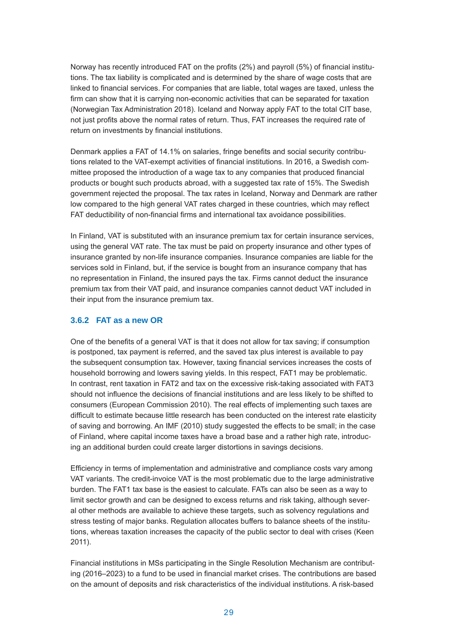Norway has recently introduced FAT on the profits (2%) and payroll (5%) of financial institutions. The tax liability is complicated and is determined by the share of wage costs that are linked to financial services. For companies that are liable, total wages are taxed, unless the firm can show that it is carrying non-economic activities that can be separated for taxation (Norwegian Tax Administration 2018). Iceland and Norway apply FAT to the total CIT base, not just profits above the normal rates of return. Thus, FAT increases the required rate of return on investments by financial institutions.

Denmark applies a FAT of 14.1% on salaries, fringe benefits and social security contributions related to the VAT-exempt activities of financial institutions. In 2016, a Swedish committee proposed the introduction of a wage tax to any companies that produced financial products or bought such products abroad, with a suggested tax rate of 15%. The Swedish government rejected the proposal. The tax rates in Iceland, Norway and Denmark are rather low compared to the high general VAT rates charged in these countries, which may reflect FAT deductibility of non-financial firms and international tax avoidance possibilities.

In Finland, VAT is substituted with an insurance premium tax for certain insurance services, using the general VAT rate. The tax must be paid on property insurance and other types of insurance granted by non-life insurance companies. Insurance companies are liable for the services sold in Finland, but, if the service is bought from an insurance company that has no representation in Finland, the insured pays the tax. Firms cannot deduct the insurance premium tax from their VAT paid, and insurance companies cannot deduct VAT included in their input from the insurance premium tax.

### **3.6.2 FAT as a new OR**

One of the benefits of a general VAT is that it does not allow for tax saving; if consumption is postponed, tax payment is referred, and the saved tax plus interest is available to pay the subsequent consumption tax. However, taxing financial services increases the costs of household borrowing and lowers saving yields. In this respect, FAT1 may be problematic. In contrast, rent taxation in FAT2 and tax on the excessive risk-taking associated with FAT3 should not influence the decisions of financial institutions and are less likely to be shifted to consumers (European Commission 2010). The real effects of implementing such taxes are difficult to estimate because little research has been conducted on the interest rate elasticity of saving and borrowing. An IMF (2010) study suggested the effects to be small; in the case of Finland, where capital income taxes have a broad base and a rather high rate, introducing an additional burden could create larger distortions in savings decisions.

Efficiency in terms of implementation and administrative and compliance costs vary among VAT variants. The credit-invoice VAT is the most problematic due to the large administrative burden. The FAT1 tax base is the easiest to calculate. FATs can also be seen as a way to limit sector growth and can be designed to excess returns and risk taking, although several other methods are available to achieve these targets, such as solvency regulations and stress testing of major banks. Regulation allocates buffers to balance sheets of the institutions, whereas taxation increases the capacity of the public sector to deal with crises (Keen 2011).

Financial institutions in MSs participating in the Single Resolution Mechanism are contributing (2016–2023) to a fund to be used in financial market crises. The contributions are based on the amount of deposits and risk characteristics of the individual institutions. A risk-based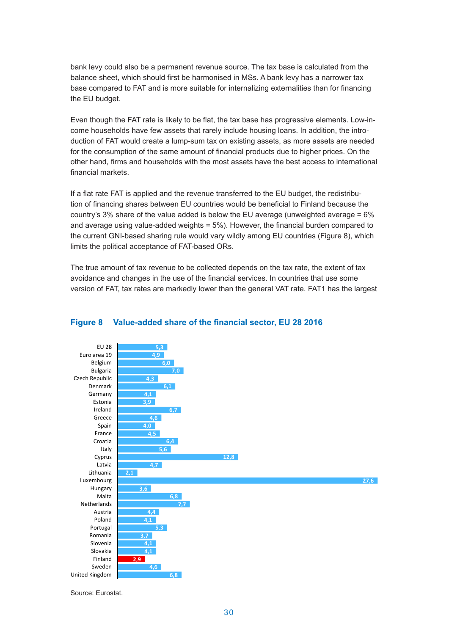bank levy could also be a permanent revenue source. The tax base is calculated from the balance sheet, which should first be harmonised in MSs. A bank levy has a narrower tax base compared to FAT and is more suitable for internalizing externalities than for financing the EU budget.

Even though the FAT rate is likely to be flat, the tax base has progressive elements. Low-income households have few assets that rarely include housing loans. In addition, the introduction of FAT would create a lump-sum tax on existing assets, as more assets are needed for the consumption of the same amount of financial products due to higher prices. On the other hand, firms and households with the most assets have the best access to international financial markets.

If a flat rate FAT is applied and the revenue transferred to the EU budget, the redistribution of financing shares between EU countries would be beneficial to Finland because the country's 3% share of the value added is below the EU average (unweighted average = 6% and average using value-added weights = 5%). However, the financial burden compared to the current GNI-based sharing rule would vary wildly among EU countries (Figure 8), which limits the political acceptance of FAT-based ORs.

The true amount of tax revenue to be collected depends on the tax rate, the extent of tax avoidance and changes in the use of the financial services. In countries that use some version of FAT, tax rates are markedly lower than the general VAT rate. FAT1 has the largest



### **Figure 8 Value-added share of the financial sector, EU 28 2016**

Source: Eurostat.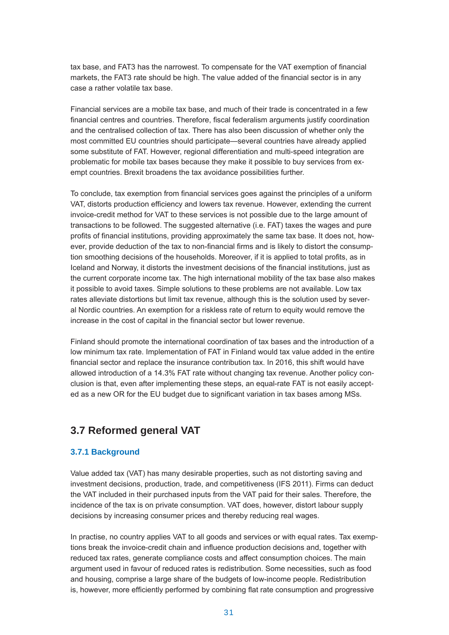tax base, and FAT3 has the narrowest. To compensate for the VAT exemption of financial markets, the FAT3 rate should be high. The value added of the financial sector is in any case a rather volatile tax base.

Financial services are a mobile tax base, and much of their trade is concentrated in a few financial centres and countries. Therefore, fiscal federalism arguments justify coordination and the centralised collection of tax. There has also been discussion of whether only the most committed EU countries should participate—several countries have already applied some substitute of FAT. However, regional differentiation and multi-speed integration are problematic for mobile tax bases because they make it possible to buy services from exempt countries. Brexit broadens the tax avoidance possibilities further.

To conclude, tax exemption from financial services goes against the principles of a uniform VAT, distorts production efficiency and lowers tax revenue. However, extending the current invoice-credit method for VAT to these services is not possible due to the large amount of transactions to be followed. The suggested alternative (i.e. FAT) taxes the wages and pure profits of financial institutions, providing approximately the same tax base. It does not, however, provide deduction of the tax to non-financial firms and is likely to distort the consumption smoothing decisions of the households. Moreover, if it is applied to total profits, as in Iceland and Norway, it distorts the investment decisions of the financial institutions, just as the current corporate income tax. The high international mobility of the tax base also makes it possible to avoid taxes. Simple solutions to these problems are not available. Low tax rates alleviate distortions but limit tax revenue, although this is the solution used by several Nordic countries. An exemption for a riskless rate of return to equity would remove the increase in the cost of capital in the financial sector but lower revenue.

Finland should promote the international coordination of tax bases and the introduction of a low minimum tax rate. Implementation of FAT in Finland would tax value added in the entire financial sector and replace the insurance contribution tax. In 2016, this shift would have allowed introduction of a 14.3% FAT rate without changing tax revenue. Another policy conclusion is that, even after implementing these steps, an equal-rate FAT is not easily accepted as a new OR for the EU budget due to significant variation in tax bases among MSs.

# **3.7 Reformed general VAT**

## **3.7.1 Background**

Value added tax (VAT) has many desirable properties, such as not distorting saving and investment decisions, production, trade, and competitiveness (IFS 2011). Firms can deduct the VAT included in their purchased inputs from the VAT paid for their sales. Therefore, the incidence of the tax is on private consumption. VAT does, however, distort labour supply decisions by increasing consumer prices and thereby reducing real wages.

In practise, no country applies VAT to all goods and services or with equal rates. Tax exemptions break the invoice-credit chain and influence production decisions and, together with reduced tax rates, generate compliance costs and affect consumption choices. The main argument used in favour of reduced rates is redistribution. Some necessities, such as food and housing, comprise a large share of the budgets of low-income people. Redistribution is, however, more efficiently performed by combining flat rate consumption and progressive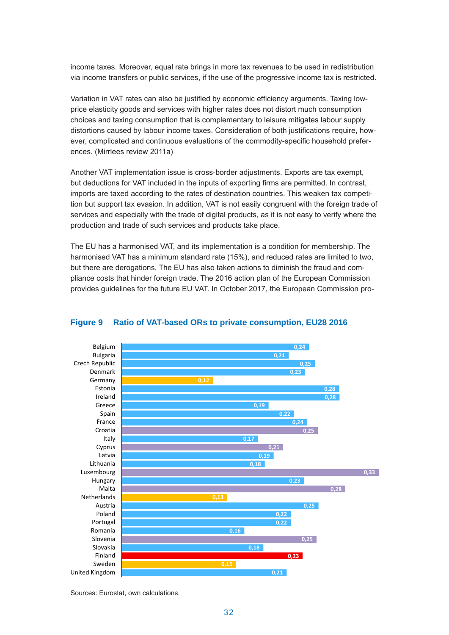income taxes. Moreover, equal rate brings in more tax revenues to be used in redistribution via income transfers or public services, if the use of the progressive income tax is restricted.

Variation in VAT rates can also be justified by economic efficiency arguments. Taxing lowprice elasticity goods and services with higher rates does not distort much consumption choices and taxing consumption that is complementary to leisure mitigates labour supply distortions caused by labour income taxes. Consideration of both justifications require, however, complicated and continuous evaluations of the commodity-specific household preferences. (Mirrlees review 2011a)

Another VAT implementation issue is cross-border adjustments. Exports are tax exempt, but deductions for VAT included in the inputs of exporting firms are permitted. In contrast, imports are taxed according to the rates of destination countries. This weaken tax competition but support tax evasion. In addition, VAT is not easily congruent with the foreign trade of services and especially with the trade of digital products, as it is not easy to verify where the production and trade of such services and products take place.

The EU has a harmonised VAT, and its implementation is a condition for membership. The harmonised VAT has a minimum standard rate (15%), and reduced rates are limited to two, but there are derogations. The EU has also taken actions to diminish the fraud and compliance costs that hinder foreign trade. The 2016 action plan of the European Commission provides guidelines for the future EU VAT. In October 2017, the European Commission pro-Figure 9



#### **Figure 9 Ratio of VAT-based ORs to private consumption, EU28 2016**

Sources: Eurostat, own calculations. Sources: Eurostat, own calculations.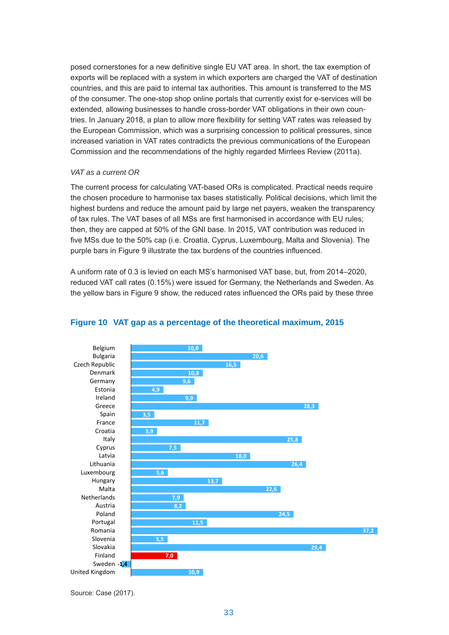posed cornerstones for a new definitive single EU VAT area. In short, the tax exemption of exports will be replaced with a system in which exporters are charged the VAT of destination countries, and this are paid to internal tax authorities. This amount is transferred to the MS of the consumer. The one-stop shop online portals that currently exist for e-services will be extended, allowing businesses to handle cross-border VAT obligations in their own countries. In January 2018, a plan to allow more flexibility for setting VAT rates was released by the European Commission, which was a surprising concession to political pressures, since increased variation in VAT rates contradicts the previous communications of the European Commission and the recommendations of the highly regarded Mirrlees Review (2011a).

#### *VAT as a current OR*

The current process for calculating VAT-based ORs is complicated. Practical needs require the chosen procedure to harmonise tax bases statistically. Political decisions, which limit the highest burdens and reduce the amount paid by large net payers, weaken the transparency of tax rules. The VAT bases of all MSs are first harmonised in accordance with EU rules; then, they are capped at 50% of the GNI base. In 2015, VAT contribution was reduced in five MSs due to the 50% cap (i.e. Croatia, Cyprus, Luxembourg, Malta and Slovenia). The purple bars in Figure 9 illustrate the tax burdens of the countries influenced.

A uniform rate of 0.3 is levied on each MS's harmonised VAT base, but, from 2014–2020, reduced VAT call rates (0.15%) were issued for Germany, the Netherlands and Sweden. As the yellow bars in Figure 9 show, the reduced rates influenced the ORs paid by these three



### **VAT gap as a percentage of the theoretical maximum Figure 10 VAT gap as a percentage of the theoretical maximum, 2015**

Source: Case (2017). Source: Case (2017).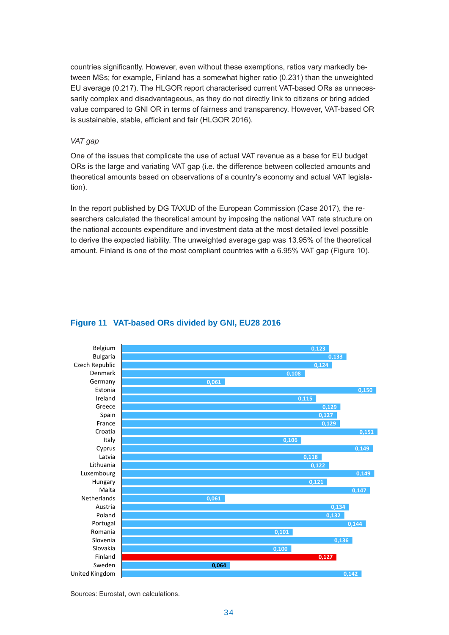countries significantly. However, even without these exemptions, ratios vary markedly between MSs; for example, Finland has a somewhat higher ratio (0.231) than the unweighted EU average (0.217). The HLGOR report characterised current VAT-based ORs as unnecessarily complex and disadvantageous, as they do not directly link to citizens or bring added value compared to GNI OR in terms of fairness and transparency. However, VAT-based OR is sustainable, stable, efficient and fair (HLGOR 2016).

#### *VAT gap*

One of the issues that complicate the use of actual VAT revenue as a base for EU budget ORs is the large and variating VAT gap (i.e. the difference between collected amounts and theoretical amounts based on observations of a country's economy and actual VAT legislation).

In the report published by DG TAXUD of the European Commission (Case 2017), the researchers calculated the theoretical amount by imposing the national VAT rate structure on the national accounts expenditure and investment data at the most detailed level possible to derive the expected liability. The unweighted average gap was 13.95% of the theoretical amount. Finland is one of the most compliant countries with a 6.95% VAT gap (Figure 10).



### **VAT-based ORs divided by GNI, EU28 2016 Figure 11 VAT-based ORs divided by GNI, EU28 2016**

Sources: Eurostat, own calculations.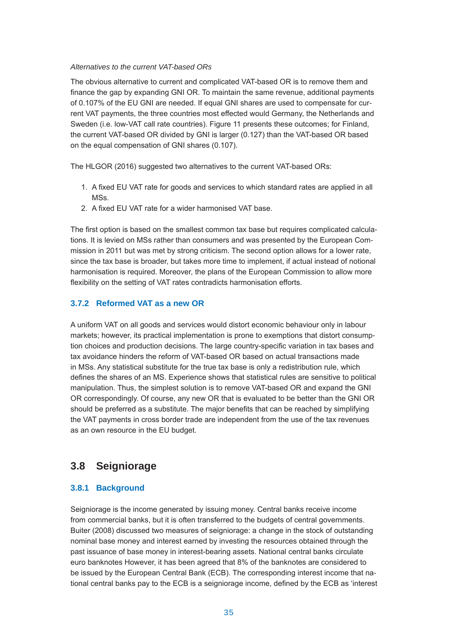#### *Alternatives to the current VAT-based ORs*

The obvious alternative to current and complicated VAT-based OR is to remove them and finance the gap by expanding GNI OR. To maintain the same revenue, additional payments of 0.107% of the EU GNI are needed. If equal GNI shares are used to compensate for current VAT payments, the three countries most effected would Germany, the Netherlands and Sweden (i.e. low-VAT call rate countries). Figure 11 presents these outcomes; for Finland, the current VAT-based OR divided by GNI is larger (0.127) than the VAT-based OR based on the equal compensation of GNI shares (0.107).

The HLGOR (2016) suggested two alternatives to the current VAT-based ORs:

- 1. A fixed EU VAT rate for goods and services to which standard rates are applied in all MSs.
- 2. A fixed EU VAT rate for a wider harmonised VAT base.

The first option is based on the smallest common tax base but requires complicated calculations. It is levied on MSs rather than consumers and was presented by the European Commission in 2011 but was met by strong criticism. The second option allows for a lower rate, since the tax base is broader, but takes more time to implement, if actual instead of notional harmonisation is required. Moreover, the plans of the European Commission to allow more flexibility on the setting of VAT rates contradicts harmonisation efforts.

## **3.7.2 Reformed VAT as a new OR**

A uniform VAT on all goods and services would distort economic behaviour only in labour markets; however, its practical implementation is prone to exemptions that distort consumption choices and production decisions. The large country-specific variation in tax bases and tax avoidance hinders the reform of VAT-based OR based on actual transactions made in MSs. Any statistical substitute for the true tax base is only a redistribution rule, which defines the shares of an MS. Experience shows that statistical rules are sensitive to political manipulation. Thus, the simplest solution is to remove VAT-based OR and expand the GNI OR correspondingly. Of course, any new OR that is evaluated to be better than the GNI OR should be preferred as a substitute. The major benefits that can be reached by simplifying the VAT payments in cross border trade are independent from the use of the tax revenues as an own resource in the EU budget.

# **3.8 Seigniorage**

## **3.8.1 Background**

Seigniorage is the income generated by issuing money. Central banks receive income from commercial banks, but it is often transferred to the budgets of central governments. Buiter (2008) discussed two measures of seigniorage: a change in the stock of outstanding nominal base money and interest earned by investing the resources obtained through the past issuance of base money in interest-bearing assets. National central banks circulate euro banknotes However, it has been agreed that 8% of the banknotes are considered to be issued by the European Central Bank (ECB). The corresponding interest income that national central banks pay to the ECB is a seigniorage income, defined by the ECB as 'interest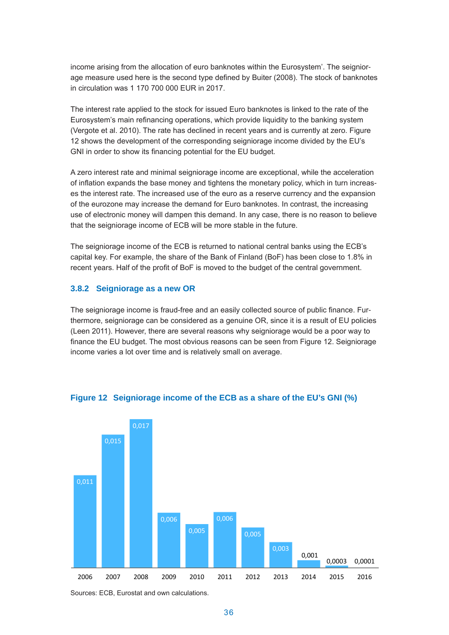income arising from the allocation of euro banknotes within the Eurosystem'. The seigniorage measure used here is the second type defined by Buiter (2008). The stock of banknotes in circulation was 1 170 700 000 EUR in 2017.

The interest rate applied to the stock for issued Euro banknotes is linked to the rate of the Eurosystem's main refinancing operations, which provide liquidity to the banking system (Vergote et al. 2010). The rate has declined in recent years and is currently at zero. Figure 12 shows the development of the corresponding seigniorage income divided by the EU's GNI in order to show its financing potential for the EU budget.

A zero interest rate and minimal seigniorage income are exceptional, while the acceleration of inflation expands the base money and tightens the monetary policy, which in turn increases the interest rate. The increased use of the euro as a reserve currency and the expansion of the eurozone may increase the demand for Euro banknotes. In contrast, the increasing use of electronic money will dampen this demand. In any case, there is no reason to believe that the seigniorage income of ECB will be more stable in the future.

The seigniorage income of the ECB is returned to national central banks using the ECB's capital key. For example, the share of the Bank of Finland (BoF) has been close to 1.8% in recent years. Half of the profit of BoF is moved to the budget of the central government.

#### **3.8.2 Seigniorage as a new OR**

The seigniorage income is fraud-free and an easily collected source of public finance. Furthermore, seigniorage can be considered as a genuine OR, since it is a result of EU policies (Leen 2011). However, there are several reasons why seigniorage would be a poor way to finance the EU budget. The most obvious reasons can be seen from Figure 12. Seigniorage income varies a lot over time and is relatively small on average.



#### **Figure 12 Seigniorage income of the ECB as a share of the EU's GNI (%)**

Sources: ECB, Eurostat and own calculations.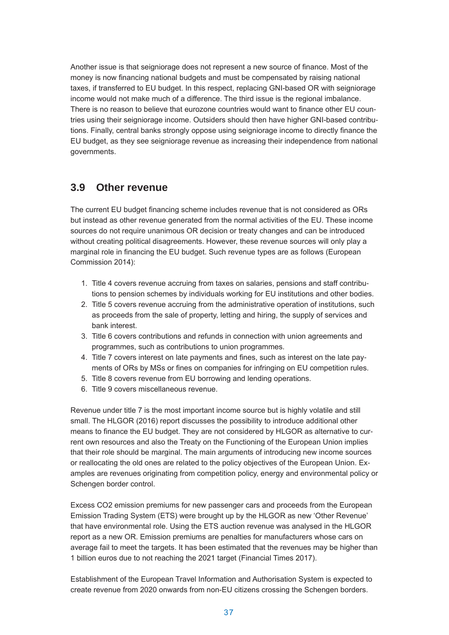Another issue is that seigniorage does not represent a new source of finance. Most of the money is now financing national budgets and must be compensated by raising national taxes, if transferred to EU budget. In this respect, replacing GNI-based OR with seigniorage income would not make much of a difference. The third issue is the regional imbalance. There is no reason to believe that eurozone countries would want to finance other EU countries using their seigniorage income. Outsiders should then have higher GNI-based contributions. Finally, central banks strongly oppose using seigniorage income to directly finance the EU budget, as they see seigniorage revenue as increasing their independence from national governments.

## **3.9 Other revenue**

The current EU budget financing scheme includes revenue that is not considered as ORs but instead as other revenue generated from the normal activities of the EU. These income sources do not require unanimous OR decision or treaty changes and can be introduced without creating political disagreements. However, these revenue sources will only play a marginal role in financing the EU budget. Such revenue types are as follows (European Commission 2014):

- 1. Title 4 covers revenue accruing from taxes on salaries, pensions and staff contributions to pension schemes by individuals working for EU institutions and other bodies.
- 2. Title 5 covers revenue accruing from the administrative operation of institutions, such as proceeds from the sale of property, letting and hiring, the supply of services and bank interest.
- 3. Title 6 covers contributions and refunds in connection with union agreements and programmes, such as contributions to union programmes.
- 4. Title 7 covers interest on late payments and fines, such as interest on the late payments of ORs by MSs or fines on companies for infringing on EU competition rules.
- 5. Title 8 covers revenue from EU borrowing and lending operations.
- 6. Title 9 covers miscellaneous revenue.

Revenue under title 7 is the most important income source but is highly volatile and still small. The HLGOR (2016) report discusses the possibility to introduce additional other means to finance the EU budget. They are not considered by HLGOR as alternative to current own resources and also the Treaty on the Functioning of the European Union implies that their role should be marginal. The main arguments of introducing new income sources or reallocating the old ones are related to the policy objectives of the European Union. Examples are revenues originating from competition policy, energy and environmental policy or Schengen border control.

Excess CO2 emission premiums for new passenger cars and proceeds from the European Emission Trading System (ETS) were brought up by the HLGOR as new 'Other Revenue' that have environmental role. Using the ETS auction revenue was analysed in the HLGOR report as a new OR. Emission premiums are penalties for manufacturers whose cars on average fail to meet the targets. It has been estimated that the revenues may be higher than 1 billion euros due to not reaching the 2021 target (Financial Times 2017).

Establishment of the European Travel Information and Authorisation System is expected to create revenue from 2020 onwards from non-EU citizens crossing the Schengen borders.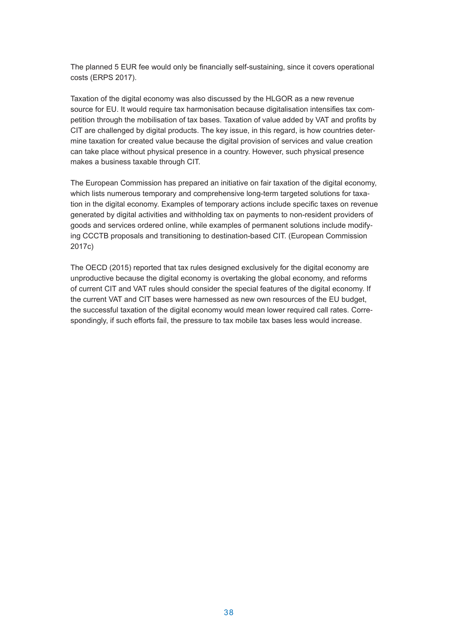The planned 5 EUR fee would only be financially self-sustaining, since it covers operational costs (ERPS 2017).

Taxation of the digital economy was also discussed by the HLGOR as a new revenue source for EU. It would require tax harmonisation because digitalisation intensifies tax competition through the mobilisation of tax bases. Taxation of value added by VAT and profits by CIT are challenged by digital products. The key issue, in this regard, is how countries determine taxation for created value because the digital provision of services and value creation can take place without physical presence in a country. However, such physical presence makes a business taxable through CIT.

The European Commission has prepared an initiative on fair taxation of the digital economy, which lists numerous temporary and comprehensive long-term targeted solutions for taxation in the digital economy. Examples of temporary actions include specific taxes on revenue generated by digital activities and withholding tax on payments to non-resident providers of goods and services ordered online, while examples of permanent solutions include modifying CCCTB proposals and transitioning to destination-based CIT. (European Commission 2017c)

The OECD (2015) reported that tax rules designed exclusively for the digital economy are unproductive because the digital economy is overtaking the global economy, and reforms of current CIT and VAT rules should consider the special features of the digital economy. If the current VAT and CIT bases were harnessed as new own resources of the EU budget, the successful taxation of the digital economy would mean lower required call rates. Correspondingly, if such efforts fail, the pressure to tax mobile tax bases less would increase.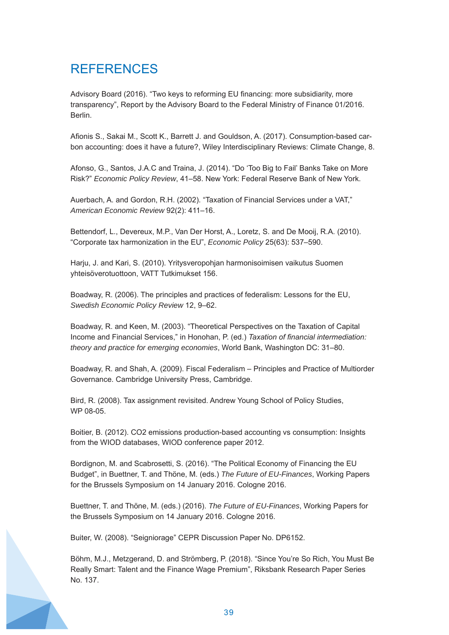# REFERENCES

Advisory Board (2016). "Two keys to reforming EU financing: more subsidiarity, more transparency", Report by the Advisory Board to the Federal Ministry of Finance 01/2016. Berlin.

Afionis S., Sakai M., Scott K., Barrett J. and Gouldson, A. (2017). Consumption-based carbon accounting: does it have a future?, Wiley Interdisciplinary Reviews: Climate Change, 8.

Afonso, G., Santos, J.A.C and Traina, J. (2014). "Do 'Too Big to Fail' Banks Take on More Risk?" *Economic Policy Review*, 41–58. New York: Federal Reserve Bank of New York.

Auerbach, A. and Gordon, R.H. (2002). "Taxation of Financial Services under a VAT," *American Economic Review* 92(2): 411–16.

Bettendorf, L., Devereux, M.P., Van Der Horst, A., Loretz, S. and De Mooij, R.A. (2010). "Corporate tax harmonization in the EU", *Economic Policy* 25(63): 537–590.

Harju, J. and Kari, S. (2010). Yritysveropohjan harmonisoimisen vaikutus Suomen yhteisöverotuottoon, VATT Tutkimukset 156.

Boadway, R. (2006). The principles and practices of federalism: Lessons for the EU, *Swedish Economic Policy Review* 12, 9–62.

Boadway, R. and Keen, M. (2003). "Theoretical Perspectives on the Taxation of Capital Income and Financial Services," in Honohan, P. (ed.) *Taxation of financial intermediation: theory and practice for emerging economies*, World Bank, Washington DC: 31–80.

Boadway, R. and Shah, A. (2009). Fiscal Federalism – Principles and Practice of Multiorder Governance. Cambridge University Press, Cambridge.

Bird, R. (2008). Tax assignment revisited. Andrew Young School of Policy Studies, WP 08-05.

Boitier, B. (2012). CO2 emissions production-based accounting vs consumption: Insights from the WIOD databases, WIOD conference paper 2012.

Bordignon, M. and Scabrosetti, S. (2016). "The Political Economy of Financing the EU Budget", in Buettner, T. and Thöne, M. (eds.) *The Future of EU-Finances*, Working Papers for the Brussels Symposium on 14 January 2016. Cologne 2016.

Buettner, T. and Thöne, M. (eds.) (2016). *The Future of EU-Finances*, Working Papers for the Brussels Symposium on 14 January 2016. Cologne 2016.

Buiter, W. (2008). "Seigniorage" CEPR Discussion Paper No. DP6152.

Böhm, M.J., Metzgerand, D. and Strömberg, P. (2018). "Since You're So Rich, You Must Be Really Smart: Talent and the Finance Wage Premium", Riksbank Research Paper Series No. 137.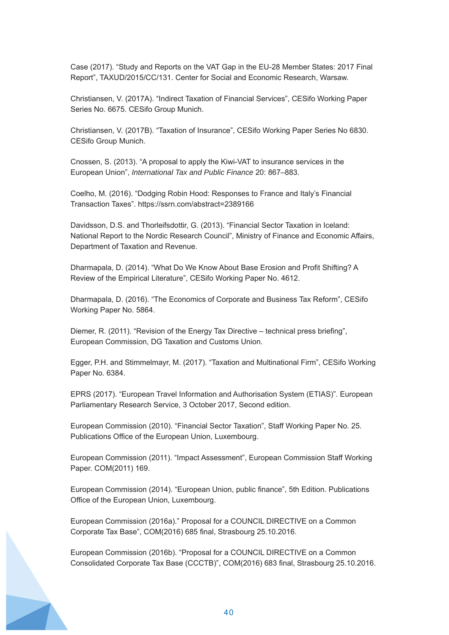Case (2017). "Study and Reports on the VAT Gap in the EU-28 Member States: 2017 Final Report", TAXUD/2015/CC/131. Center for Social and Economic Research, Warsaw.

Christiansen, V. (2017A). "Indirect Taxation of Financial Services", CESifo Working Paper Series No. 6675. CESifo Group Munich.

Christiansen, V. (2017B). "Taxation of Insurance", CESifo Working Paper Series No 6830. CESifo Group Munich.

Cnossen, S. (2013). "A proposal to apply the Kiwi-VAT to insurance services in the European Union", *International Tax and Public Finance* 20: 867–883.

Coelho, M. (2016). "Dodging Robin Hood: Responses to France and Italy's Financial Transaction Taxes". https://ssrn.com/abstract=2389166

Davidsson, D.S. and Thorleifsdottir, G. (2013). "Financial Sector Taxation in Iceland: National Report to the Nordic Research Council", Ministry of Finance and Economic Affairs, Department of Taxation and Revenue.

Dharmapala, D. (2014). "What Do We Know About Base Erosion and Profit Shifting? A Review of the Empirical Literature", CESifo Working Paper No. 4612.

Dharmapala, D. (2016). "The Economics of Corporate and Business Tax Reform", CESifo Working Paper No. 5864.

Diemer, R. (2011). "Revision of the Energy Tax Directive – technical press briefing", European Commission, DG Taxation and Customs Union.

Egger, P.H. and Stimmelmayr, M. (2017). "Taxation and Multinational Firm", CESifo Working Paper No. 6384.

EPRS (2017). "European Travel Information and Authorisation System (ETIAS)". European Parliamentary Research Service, 3 October 2017, Second edition.

European Commission (2010). "Financial Sector Taxation", Staff Working Paper No. 25. Publications Office of the European Union, Luxembourg.

European Commission (2011). "Impact Assessment", European Commission Staff Working Paper. COM(2011) 169.

European Commission (2014). "European Union, public finance", 5th Edition. Publications Office of the European Union, Luxembourg.

European Commission (2016a)." Proposal for a COUNCIL DIRECTIVE on a Common Corporate Tax Base", COM(2016) 685 final, Strasbourg 25.10.2016.

European Commission (2016b). "Proposal for a COUNCIL DIRECTIVE on a Common Consolidated Corporate Tax Base (CCCTB)", COM(2016) 683 final, Strasbourg 25.10.2016.

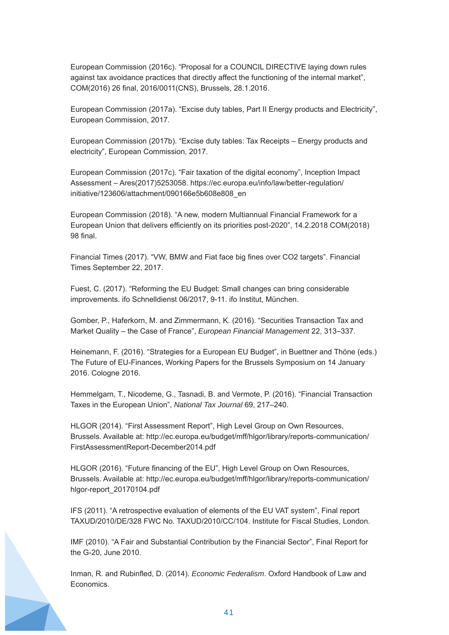European Commission (2016c). "Proposal for a COUNCIL DIRECTIVE laying down rules against tax avoidance practices that directly affect the functioning of the internal market", COM(2016) 26 final, 2016/0011(CNS), Brussels, 28.1.2016.

European Commission (2017a). "Excise duty tables, Part II Energy products and Electricity", European Commission, 2017.

European Commission (2017b). "Excise duty tables: Tax Receipts – Energy products and electricity", European Commission, 2017.

European Commission (2017c). "Fair taxation of the digital economy", Inception Impact Assessment – Ares(2017)5253058. https://ec.europa.eu/info/law/better-regulation/ initiative/123606/attachment/090166e5b608e808\_en

European Commission (2018). "A new, modern Multiannual Financial Framework for a European Union that delivers efficiently on its priorities post-2020", 14.2.2018 COM(2018) 98 final.

Financial Times (2017). "VW, BMW and Fiat face big fines over CO2 targets". Financial Times September 22, 2017.

Fuest, C. (2017). "Reforming the EU Budget: Small changes can bring considerable improvements. ifo Schnelldienst 06/2017, 9-11. ifo Institut, München.

Gomber, P., Haferkorn, M. and Zimmermann, K. (2016). "Securities Transaction Tax and Market Quality – the Case of France", *European Financial Management* 22, 313–337.

Heinemann, F. (2016). "Strategies for a European EU Budget", in Buettner and Thöne (eds.) The Future of EU-Finances, Working Papers for the Brussels Symposium on 14 January 2016. Cologne 2016.

Hemmelgarn, T., Nicodeme, G., Tasnadi, B. and Vermote, P. (2016). "Financial Transaction Taxes in the European Union", *National Tax Journal* 69, 217–240.

HLGOR (2014). "First Assessment Report", High Level Group on Own Resources, Brussels. Available at: http://ec.europa.eu/budget/mff/hlgor/library/reports-communication/ FirstAssessmentReport-December2014.pdf

HLGOR (2016). "Future financing of the EU", High Level Group on Own Resources, Brussels. Available at: http://ec.europa.eu/budget/mff/hlgor/library/reports-communication/ hlgor-report\_20170104.pdf

IFS (2011). "A retrospective evaluation of elements of the EU VAT system", Final report TAXUD/2010/DE/328 FWC No. TAXUD/2010/CC/104. Institute for Fiscal Studies, London.

IMF (2010). "A Fair and Substantial Contribution by the Financial Sector", Final Report for the G-20, June 2010.

Inman, R. and Rubinfled, D. (2014). *Economic Federalism*. Oxford Handbook of Law and Economics.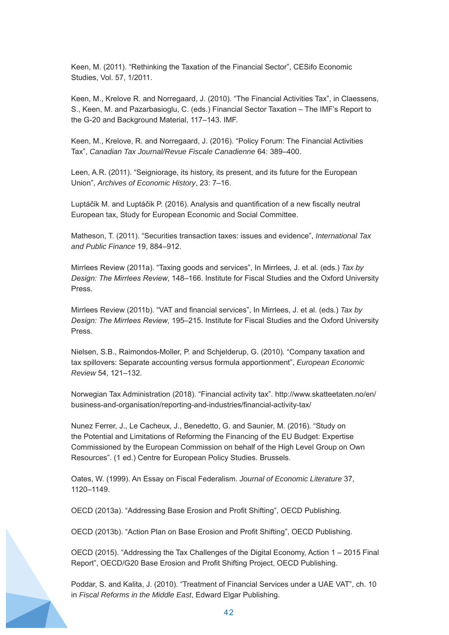Keen, M. (2011). "Rethinking the Taxation of the Financial Sector", CESifo Economic Studies, Vol. 57, 1/2011.

Keen, M., Krelove R. and Norregaard, J. (2010). "The Financial Activities Tax", in Claessens, S., Keen, M. and Pazarbasioglu, C. (eds.) Financial Sector Taxation – The IMF's Report to the G-20 and Background Material, 117–143. IMF.

Keen, M., Krelove, R. and Norregaard, J. (2016). "Policy Forum: The Financial Activities Tax", *Canadian Tax Journal/Revue Fiscale Canadienne* 64: 389–400.

Leen, A.R. (2011). "Seigniorage, its history, its present, and its future for the European Union", *Archives of Economic History*, 23: 7–16.

Luptáčik M. and Luptáčik P. (2016). Analysis and quantification of a new fiscally neutral European tax, Study for European Economic and Social Committee.

Matheson, T. (2011). "Securities transaction taxes: issues and evidence", *International Tax and Public Finance* 19, 884–912.

Mirrlees Review (2011a). "Taxing goods and services", In Mirrlees, J. et al. (eds.) *Tax by Design: The Mirrlees Review*, 148–166. Institute for Fiscal Studies and the Oxford University Press.

Mirrlees Review (2011b). "VAT and financial services", In Mirrlees, J. et al. (eds.) *Tax by Design: The Mirrlees Review*, 195–215. Institute for Fiscal Studies and the Oxford University Press.

Nielsen, S.B., Raimondos-Moller, P. and Schjelderup, G. (2010). "Company taxation and tax spillovers: Separate accounting versus formula apportionment", *European Economic Review* 54, 121–132.

Norwegian Tax Administration (2018). "Financial activity tax". http://www.skatteetaten.no/en/ business-and-organisation/reporting-and-industries/financial-activity-tax/

Nunez Ferrer, J., Le Cacheux, J., Benedetto, G. and Saunier, M. (2016). "Study on the Potential and Limitations of Reforming the Financing of the EU Budget: Expertise Commissioned by the European Commission on behalf of the High Level Group on Own Resources". (1 ed.) Centre for European Policy Studies. Brussels.

Oates, W. (1999). An Essay on Fiscal Federalism. *Journal of Economic Literature* 37, 1120–1149.

OECD (2013a). "Addressing Base Erosion and Profit Shifting", OECD Publishing.

OECD (2013b). "Action Plan on Base Erosion and Profit Shifting", OECD Publishing.

OECD (2015). "Addressing the Tax Challenges of the Digital Economy, Action 1 – 2015 Final Report", OECD/G20 Base Erosion and Profit Shifting Project, OECD Publishing.

Poddar, S. and Kalita, J. (2010). "Treatment of Financial Services under a UAE VAT", ch. 10 in *Fiscal Reforms in the Middle East*, Edward Elgar Publishing.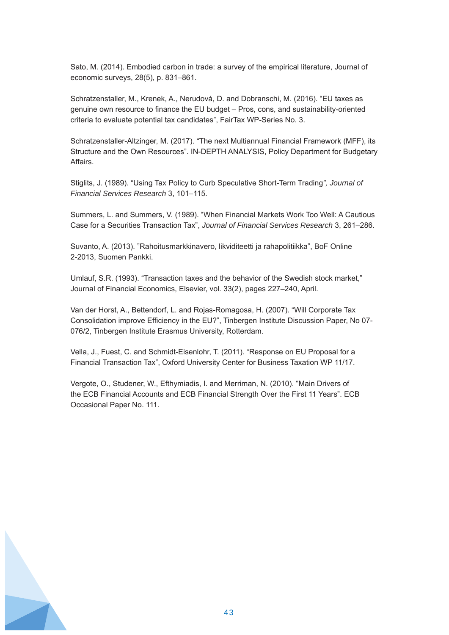Sato, M. (2014). Embodied carbon in trade: a survey of the empirical literature, Journal of economic surveys, 28(5), p. 831–861.

Schratzenstaller, M., Krenek, A., Nerudová, D. and Dobranschi, M. (2016). "EU taxes as genuine own resource to finance the EU budget – Pros, cons, and sustainability-oriented criteria to evaluate potential tax candidates", FairTax WP-Series No. 3.

Schratzenstaller-Altzinger, M. (2017). "The next Multiannual Financial Framework (MFF), its Structure and the Own Resources". IN-DEPTH ANALYSIS, Policy Department for Budgetary Affairs.

Stiglits, J. (1989). "Using Tax Policy to Curb Speculative Short-Term Trading*", Journal of Financial Services Research* 3, 101–115.

Summers, L. and Summers, V. (1989). "When Financial Markets Work Too Well: A Cautious Case for a Securities Transaction Tax", *Journal of Financial Services Research* 3, 261–286.

Suvanto, A. (2013). "Rahoitusmarkkinavero, likviditeetti ja rahapolitiikka", BoF Online 2-2013, Suomen Pankki.

Umlauf, S.R. (1993). "Transaction taxes and the behavior of the Swedish stock market," Journal of Financial Economics, Elsevier, vol. 33(2), pages 227–240, April.

Van der Horst, A., Bettendorf, L. and Rojas-Romagosa, H. (2007). "Will Corporate Tax Consolidation improve Efficiency in the EU?", Tinbergen Institute Discussion Paper, No 07- 076/2, Tinbergen Institute Erasmus University, Rotterdam.

Vella, J., Fuest, C. and Schmidt-Eisenlohr, T. (2011). "Response on EU Proposal for a Financial Transaction Tax", Oxford University Center for Business Taxation WP 11/17.

Vergote, O., Studener, W., Efthymiadis, I. and Merriman, N. (2010). "Main Drivers of the ECB Financial Accounts and ECB Financial Strength Over the First 11 Years". ECB Occasional Paper No. 111.